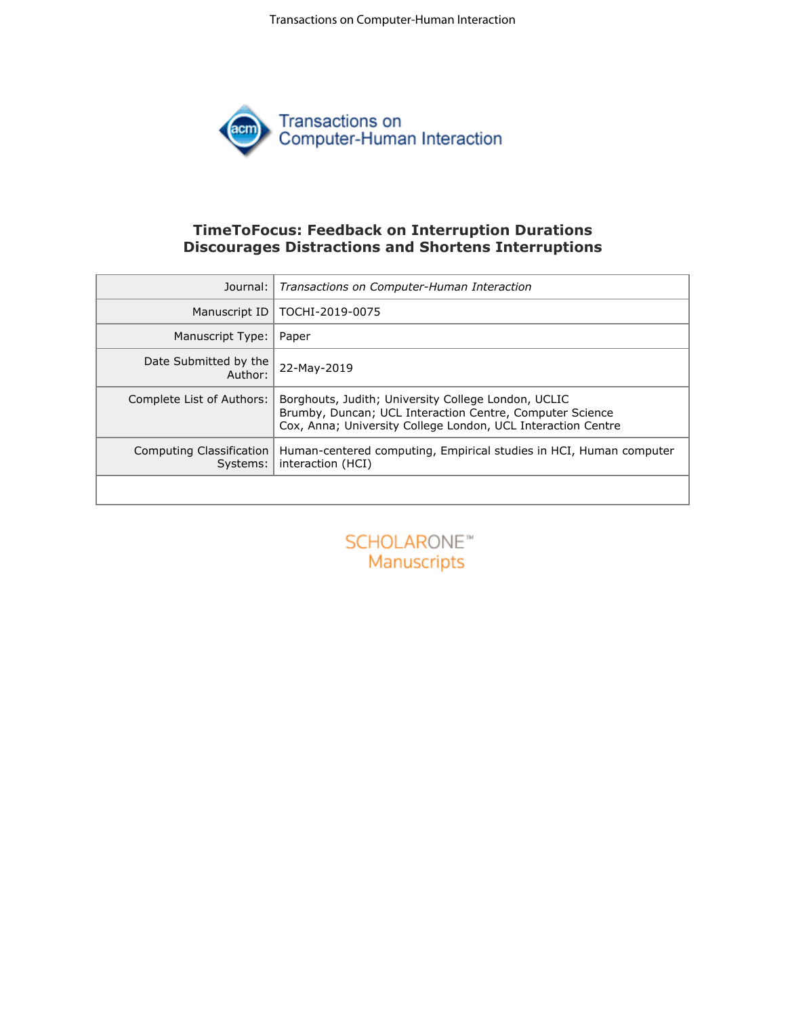Transactions on Computer-Human Interaction



# **TimeToFocus: Feedback on Interruption Durations Discourages Distractions and Shortens Interruptions**

| Transactions on Computer-Human Interaction                                                                                                                                      |  |  |  |  |
|---------------------------------------------------------------------------------------------------------------------------------------------------------------------------------|--|--|--|--|
| TOCHI-2019-0075                                                                                                                                                                 |  |  |  |  |
| Paper                                                                                                                                                                           |  |  |  |  |
| 22-May-2019                                                                                                                                                                     |  |  |  |  |
| Borghouts, Judith; University College London, UCLIC<br>Brumby, Duncan; UCL Interaction Centre, Computer Science<br>Cox, Anna; University College London, UCL Interaction Centre |  |  |  |  |
| Computing Classification<br>Human-centered computing, Empirical studies in HCI, Human computer<br>Systems:<br>interaction (HCI)                                                 |  |  |  |  |
|                                                                                                                                                                                 |  |  |  |  |
| <b>SCHOLARONE™</b><br>Manuscripts                                                                                                                                               |  |  |  |  |
|                                                                                                                                                                                 |  |  |  |  |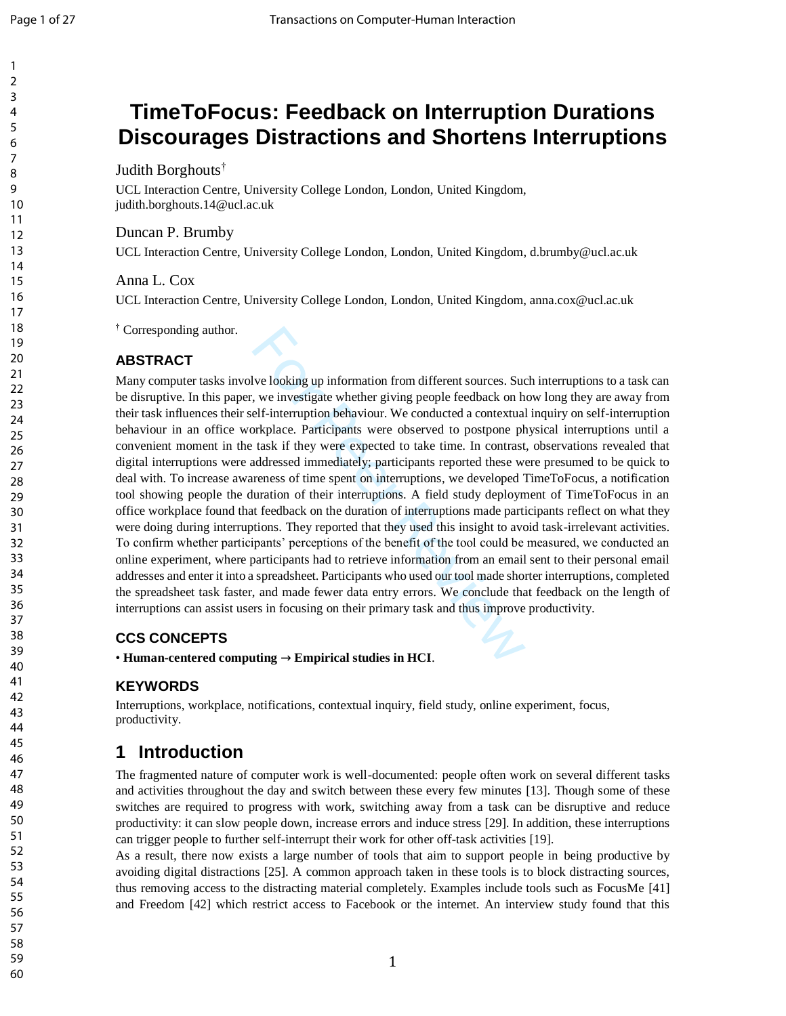**TimeToFocus: Feedback on Interruption Durations** 

#### 123456789 1  $\overline{2}$ 3 4 5 **Discourages Distractions and Shortens Interruptions** 6 7 Judith Borghouts † 8 9 UCL Interaction Centre , University College London, London, United Kingdom, 10 judith.borghouts.14@ucl.ac.uk 11 Duncan P. Brumby 12 13 UCL Interaction Centre , University College London, London, United Kingdom, d.brumby@ucl.ac.uk 14 Anna L. Cox 15 16 UCL Interaction Centre , University College London, London, United Kingdom, anna.cox@ucl.ac.uk 17 18 † Corresponding author. 19 20 21 22 23 24 25 26 27 28 29 30 31 32 33

lve looking up information from different sources. Suct, we investigate whether giving people feedback on helf-interruption behaviour. We conducted a contextual orkplace. Participants were observed to postpone ph task if **ABSTRACT** Many computer tasks involve looking up information from different sources. Such interruptions to a task can be disruptive. In this paper, we investigate whether giving people feedback on how long they are away from their task influences their self-interruption behaviour. We conducted a contextual inquiry on self -interruption behaviour in an office workplace. Participants were observed to postpone physical interruptions until a convenient moment in the task if they were expected to take time. In contrast, observations revealed that digital interruptions were addressed immediately; participants reported these were presumed to be quick to deal with. To increase awareness of time spent on interruptions, we developed TimeToFocus, a notification tool showing people the duration of their interruptions. A field study deployment of TimeToFocus in an office workplace found that feedback on the duration of interruptions made participants reflect on what they were doing during interruptions. They reported that they used this insight to avoid task -irrelevant activities. To confirm whether participants' perceptions of the benefit of the tool could be measured, we conducted an online experiment, where participants had to retrieve information from an email sent to their personal email addresses and enter it into a spreadsheet. Participants who used our tool made shorter interruptions, completed the spreadsheet task faster, and made fewer data entry errors. We conclude that feedback on the length of interruptions can assist users in focusing on their primary task and thus improve productivity.

# **CCS CONCEPTS**

• **Human-centered computing → Empirical studies in HCI** .

## **KEYWORDS**

Interruptions, workplace, notifications, contextual inquiry, field study, online experiment, focus, productivity.

# **1 Introduction**

The fragmented nature of computer work is well -documented: people often work on several different tasks and activities throughout the day and switch between these every few minutes [13] . Though some of these switches are required to progress with work, switching away from a task can be disruptive and reduce productivity: it can slow people down, increase errors and induce stress [29] . In addition, these inte rruptions can trigger people to further self-interrupt their work for other off-task activities [19].

As a result, there now exists a large number of tools that aim to support people in being productive by avoiding digital distractions [25]. A common approach taken in these tools is to block distracting sources, thus removing access to the distracting material completely. Examples include tools such as FocusMe [41] and Freedom [42] which restrict access to Facebook or the internet. An interview study found that this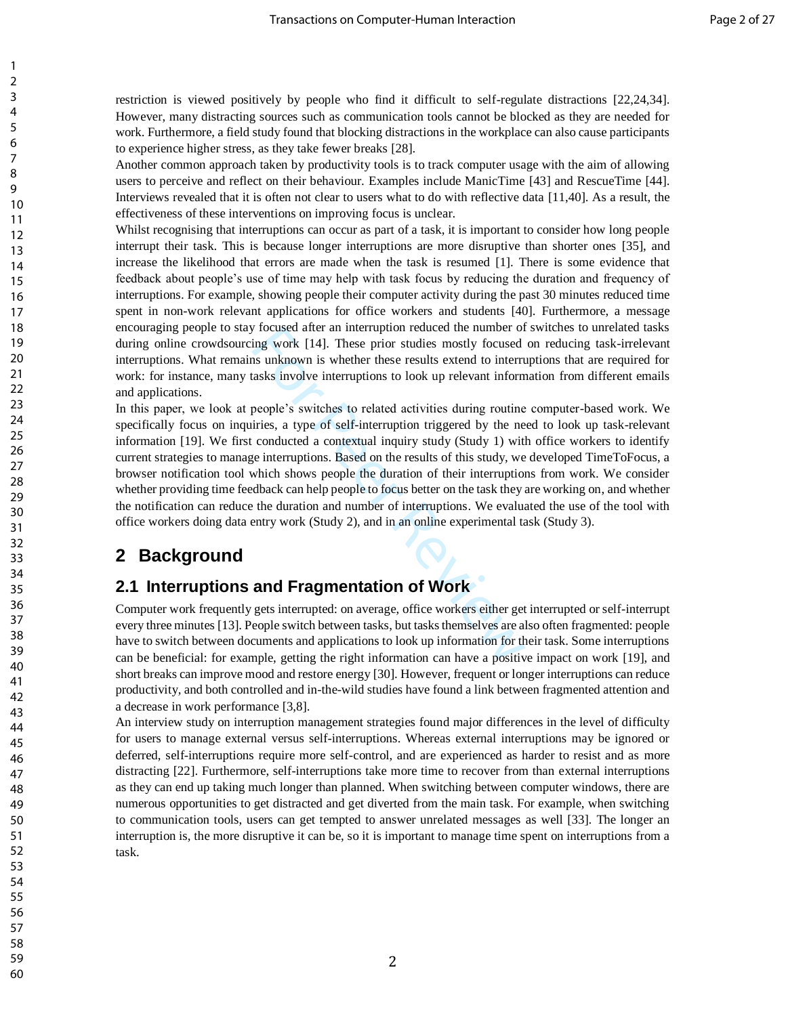restriction is viewed positively by people who find it difficult to self-regulate distractions [22,24,34]. However, many distracting sources such as communication tools cannot be blocked as they are needed for work. Furthermore, a field study found that blocking distractions in the workplace can also cause participants to experience higher stress, as they take fewer breaks [28].

Another common approach taken by productivity tools is to track computer usage with the aim of allowing users to perceive and reflect on their behaviour. Examples include ManicTime [43] and RescueTime [44]. Interviews revealed that it is often not clear to users what to do with reflective data [11,40]. As a result, the effectiveness of these interventions on improving focus is unclear.

Whilst recognising that interruptions can occur as part of a task, it is important to consider how long people interrupt their task. This is because longer interruptions are more disruptive than shorter ones [35], and increase the likelihood that errors are made when the task is resumed [1]. There is some evidence that feedback about people's use of time may help with task focus by reducing the duration and frequency of interruptions. For example, showing people their computer activity during the past 30 minutes reduced time spent in non-work relevant applications for office workers and students [40]. Furthermore, a message encouraging people to stay focused after an interruption reduced the number of switches to unrelated tasks during online crowdsourcing work [14]. These prior studies mostly focused on reducing task-irrelevant interruptions. What remains unknown is whether these results extend to interruptions that are required for work: for instance, many tasks involve interruptions to look up relevant information from different emails and applications.

For Procused after an interruption reduced the number of<br>ing work [14]. These prior studies mostly focused<br>is unknown is whether these results extend to interru<br>asks involve interruptions to look up relevant inform<br>people' In this paper, we look at people's switches to related activities during routine computer-based work. We specifically focus on inquiries, a type of self-interruption triggered by the need to look up task-relevant information [19]. We first conducted a contextual inquiry study (Study 1) with office workers to identify current strategies to manage interruptions. Based on the results of this study, we developed TimeToFocus, a browser notification tool which shows people the duration of their interruptions from work. We consider whether providing time feedback can help people to focus better on the task they are working on, and whether the notification can reduce the duration and number of interruptions. We evaluated the use of the tool with office workers doing data entry work (Study 2), and in an online experimental task (Study 3).

# **2 Background**

# **2.1 Interruptions and Fragmentation of Work**

Computer work frequently gets interrupted: on average, office workers either get interrupted or self-interrupt every three minutes [13]. People switch between tasks, but tasks themselves are also often fragmented: people have to switch between documents and applications to look up information for their task. Some interruptions can be beneficial: for example, getting the right information can have a positive impact on work [19], and short breaks can improve mood and restore energy [30]. However, frequent or longer interruptions can reduce productivity, and both controlled and in-the-wild studies have found a link between fragmented attention and a decrease in work performance [3,8].

An interview study on interruption management strategies found major differences in the level of difficulty for users to manage external versus self-interruptions. Whereas external interruptions may be ignored or deferred, self-interruptions require more self-control, and are experienced as harder to resist and as more distracting [22]. Furthermore, self-interruptions take more time to recover from than external interruptions as they can end up taking much longer than planned. When switching between computer windows, there are numerous opportunities to get distracted and get diverted from the main task. For example, when switching to communication tools, users can get tempted to answer unrelated messages as well [33]. The longer an interruption is, the more disruptive it can be, so it is important to manage time spent on interruptions from a task.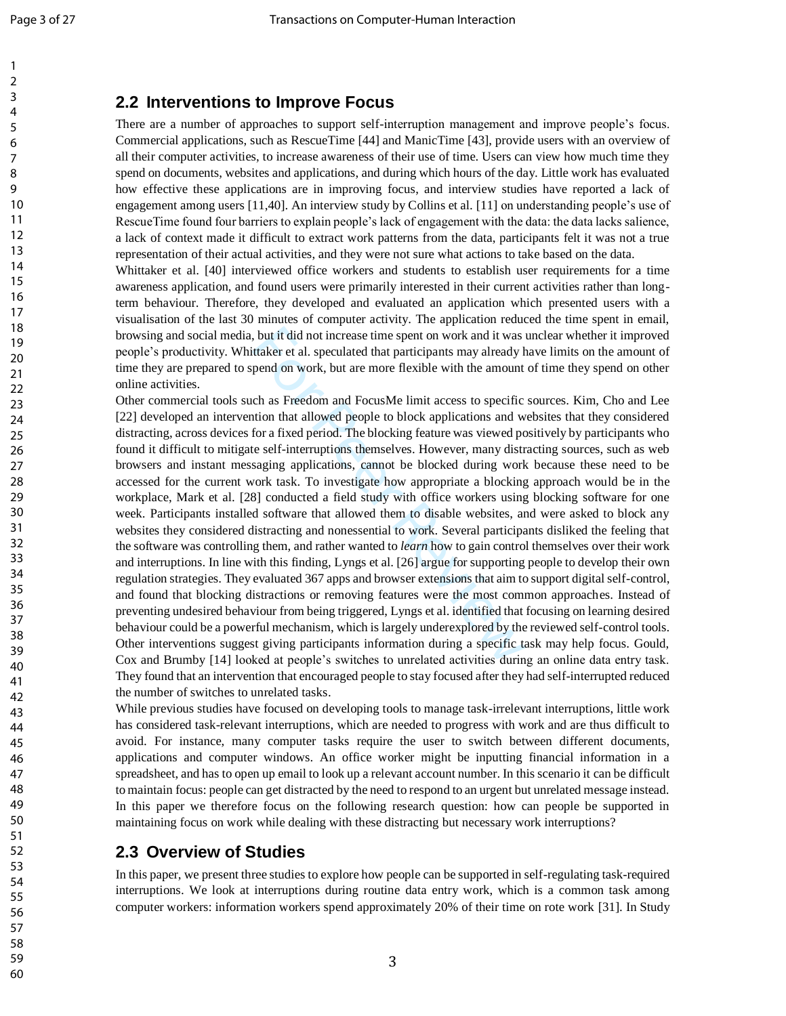## **2.2 Interventions to Improve Focus**

There are a number of approaches to support self -interruption management and improve people's focus. Commercial applications, such as RescueTime [44] and ManicTime [43], provide users with an overview of all their computer activities, to increase awareness of their use of time. Users can view how much time they spend on documents, websites and applications, and during which hours of the day. Little work has evaluated how effective these applications are in improving focus, and interview studies have reported a lack of engagement among users [11,40]. An interview study by Collins et al. [11] on understanding people's use of RescueTime found four barriers to explain people's lack of engagement with the data: the data lacks salience, a lack of context made it difficult to extract work patterns from the data, participants felt it was not a true representation of their actual activities, and they were not sure what actions to take based on the data.

Whittaker et al. [40] interviewed office workers and students to establish user requirements for a time awareness application, and found users were primarily interested in their current activities rather than long term behaviour. Therefore, they developed and evaluated an application which presented users with a visualisation of the last 30 minutes of computer activity. The application reduced the time spent in email, browsing and social media, but it did not increase time spent on work and it was unclear whether it improved people's productivity. Whittaker et al. speculated that participants may already have limits on the amount of time they are prepared to spend on work, but are more flexible with the amount of time they spend on other online activities.

, but it did not increase time spent on work and it was it taker et al. speculated that participants may already b pend on work, but are more flexible with the amount ch as Freedom and FocusMe limit access to specific thio Other commercial tools such as Freedom and FocusMe limit access to specific sources. Kim, Cho and Lee [22] developed an intervention that allowed people to block applications and websites that they considered distracting, across devices for a fixed period. The blocking feature was viewed positively by participants who found it difficult to mitigate self -interruptions themselves. However, many distracting sources, such as web browsers and instant messaging applications, cannot be blocked during work because these need to be accessed for the current work task. To investigate how appropriate a blocking approach would be in the workplace, Mark et al. [28] conducted a field study with office workers using blocking software for one week. Participants installed software that allowed them to disable websites, and were asked to block any websites they considered distracting and nonessential to work. Several participants disliked the feeling that the software was controlling them, and rather wanted to *learn* how to gain control themselves over their work and interruptions. In line with this finding, Lyngs et al. [26] argue for supporting people to develop their own regulation strategies. They evaluated 367 apps and browser extensions that aim to support digital self -control, and found that blocking distractions or removing features were the most common approaches. Instead of preventing undesired behaviour from being triggered , Lyngs et al. identified that focusing on learning desired behaviour could be a powerful mechanism, which is largely underexplored by the reviewed self -control tools. Other interventions suggest giving participants information during a specific task may help focus. Gould, Cox and Brumby [14] looked at people's switches to unrelated activities during an online data entry task. They found that an intervention that encouraged people to stay focused after they had self-interrupted reduced the number of switches to unrelated tasks.

While previous studies have focused on developing tools to manage task -irrelevant interruptions, little work has considered task -relevant interruptions, which are needed to progress with work and are thus difficult to avoid. For instance, many computer tasks require the user to switch between different documents, applications and computer windows. An office worker might be inputting financial information in a spreadsheet, and has to open up email to look up a relevant account number. In this scenario it can be difficult to maintain focus: people can get distracted by the need to respond to an urgent but unrelated message instead. In this paper we therefore focus on the following research question: how can people be supported in maintaining focus on work while dealing with these distracting but necessary work interruptions?

# **2.3 Overview of Studies**

In this paper, we present three studies to explore how people can be supported in self-regulating task-required interruptions. We look at interruptions during routine data entry work, which is a common task among computer workers: information workers spend approximately 20% of their time on rote work [31]. In Study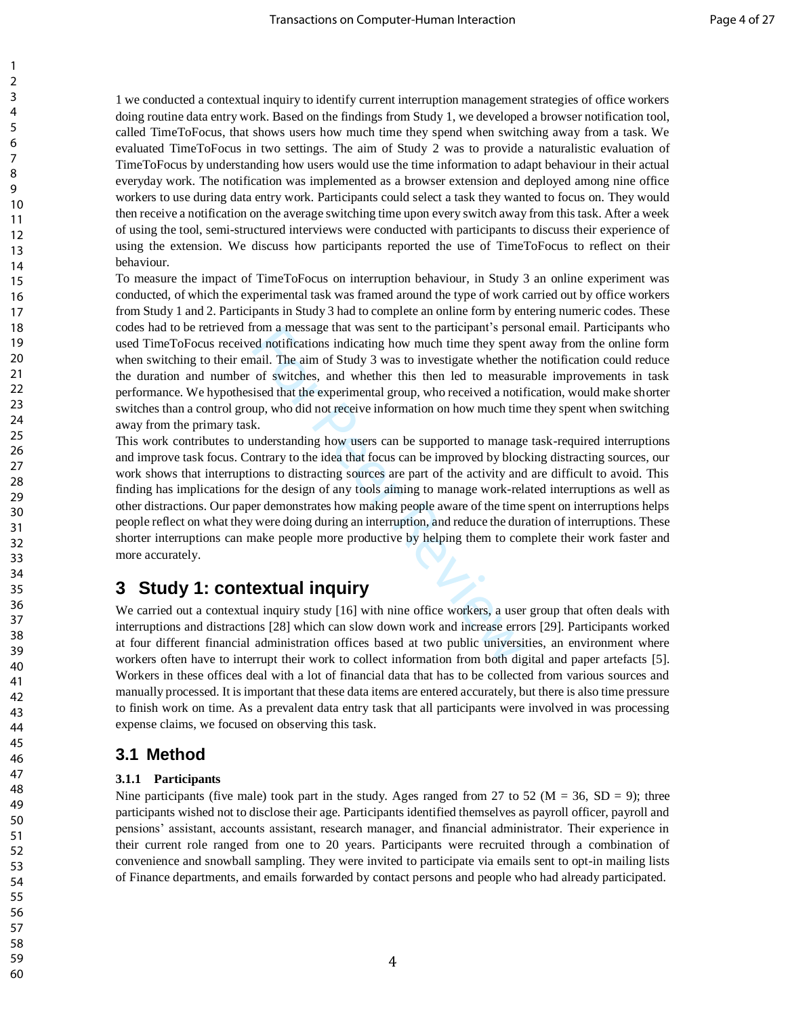1 we conducted a contextual inquiry to identify current interruption management strategies of office workers doing routine data entry work. Based on the findings from Study 1, we developed a browser notification tool, called TimeToFocus, that shows users how much time they spend when switching away from a task. We evaluated TimeToFocus in two settings. The aim of Study 2 was to provide a naturalistic evaluation of TimeToFocus by understanding how users would use the time information to adapt behaviour in their actual everyday work. The notification was implemented as a browser extension and deployed among nine office workers to use during data entry work. Participants could select a task they wanted to focus on. They would then receive a notification on the average switching time upon every switch away from this task. After a week of using the tool, semi-structured interviews were conducted with participants to discuss their experience of using the extension. We discuss how participants reported the use of TimeToFocus to reflect on their behaviour.

To measure the impact of TimeToFocus on interruption behaviour, in Study 3 an online experiment was conducted, of which the experimental task was framed around the type of work carried out by office workers from Study 1 and 2. Participants in Study 3 had to complete an online form by entering numeric codes. These codes had to be retrieved from a message that was sent to the participant's personal email. Participants who used TimeToFocus received notifications indicating how much time they spent away from the online form when switching to their email. The aim of Study 3 was to investigate whether the notification could reduce the duration and number of switches, and whether this then led to measurable improvements in task performance. We hypothesised that the experimental group, who received a notification, would make shorter switches than a control group, who did not receive information on how much time they spent when switching away from the primary task.

rom a message that was sent to the participant s person<br>d notifications indicating how much time they spent<br>aail. The aim of Study 3 was to investigate whether tl<br>of switches, and whether this then led to measur-<br>ised that This work contributes to understanding how users can be supported to manage task-required interruptions and improve task focus. Contrary to the idea that focus can be improved by blocking distracting sources, our work shows that interruptions to distracting sources are part of the activity and are difficult to avoid. This finding has implications for the design of any tools aiming to manage work-related interruptions as well as other distractions. Our paper demonstrates how making people aware of the time spent on interruptions helps people reflect on what they were doing during an interruption, and reduce the duration of interruptions. These shorter interruptions can make people more productive by helping them to complete their work faster and more accurately.

# **3 Study 1: contextual inquiry**

We carried out a contextual inquiry study [16] with nine office workers, a user group that often deals with interruptions and distractions [28] which can slow down work and increase errors [29]. Participants worked at four different financial administration offices based at two public universities, an environment where workers often have to interrupt their work to collect information from both digital and paper artefacts [5]. Workers in these offices deal with a lot of financial data that has to be collected from various sources and manually processed. It is important that these data items are entered accurately, but there is also time pressure to finish work on time. As a prevalent data entry task that all participants were involved in was processing expense claims, we focused on observing this task.

## **3.1 Method**

### **3.1.1 Participants**

Nine participants (five male) took part in the study. Ages ranged from 27 to 52 ( $M = 36$ , SD = 9); three participants wished not to disclose their age. Participants identified themselves as payroll officer, payroll and pensions' assistant, accounts assistant, research manager, and financial administrator. Their experience in their current role ranged from one to 20 years. Participants were recruited through a combination of convenience and snowball sampling. They were invited to participate via emails sent to opt-in mailing lists of Finance departments, and emails forwarded by contact persons and people who had already participated.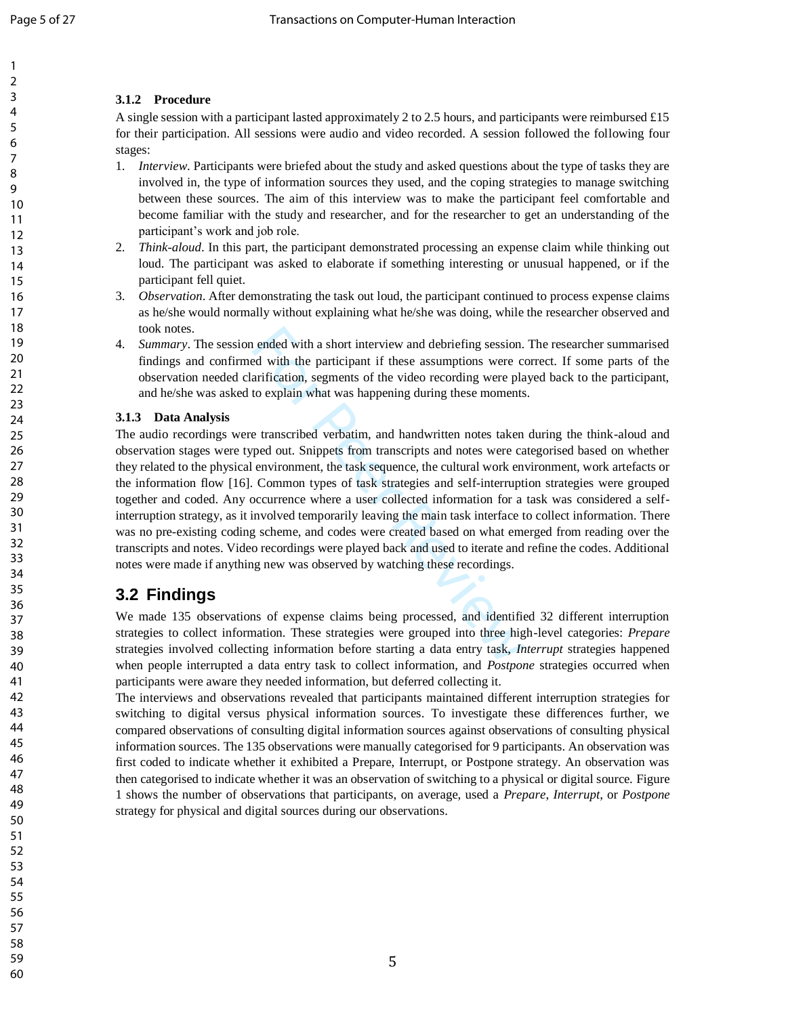## **3.1.2 Procedure**

A single session with a participant lasted approximately 2 to 2.5 hours, and participants were reimbursed £15 for their participation. All sessions were audio and video recorded. A session followed the following four stages:

- 1. *Interview*. Participants were briefed about the study and asked questions about the type of tasks they are involved in, the type of information sources they used, and the coping strategies to manage switching between these sources. The aim of this interview was to make the participant feel comfortable and become familiar with the study and researcher, and for the researcher to get an understanding of the participant's work and job role.
- 2. *Think -aloud*. In this part, the participant demonstrated processing an expense claim while thinking out loud. The participant was asked to elaborate if something interesting or unusual happened, or if the participant fell quiet.
- 3. *Observation*. After demonstrating the task out loud, the participant continued to process expense claims as he/she would normally without explaining what he/she was doing, while the researcher observed and took notes.
- 4. *Summary*. The session ended with a short interview and debriefing session. The researcher summarised findings and confirmed with the participant if these assumptions were correct. If some parts of the observation needed clarification, segments of the video recording were played back to the participant, and he/she was asked to explain what was happening during these moments.

### **3.1.3 Data Analysis**

is ended with a short interview and debriefing session.<br>
Ed with the participant if these assumptions were contrification, segments of the video recording were pla<br>
to explain what was happening during these moments<br>
E tra The audio recordings were transcribed verbatim, and handwritten notes taken during the think -aloud and observation stages were typed out. Snippets from transcripts and notes were categorised based on whether they related to the physical environment, the task sequence, the cultural work environment, work artefacts or the information flow [16]. Common types of task strategies and self-interruption strategies were grouped together and coded. Any occurrence where a user collected information for a task was considered a self interruption strategy, as it involved temporarily leaving the main task interface to collect information. There was no pre -existing coding scheme, and codes were created based on what emerged from reading over the transcripts and notes. Video recordings were played back and used to iterate and refine the codes. Additional notes were made if anything new was observed by watching these recordings.

# **3.2 Findings**

We made 135 observations of expense claims being processed, and identified 32 different interruption strategies to collect information. These strategies were grouped into three high -level categories: *Prepare* strategies involved collecting information before starting a data entry task, *Interrupt* strategies happened when people interrupted a data entry task to collect information, and *Postpone* strategies occurred when participants were aware they needed information, but deferred collecting it.

The interviews and observations revealed that participants maintained different interruption strategies for switching to digital versus physical information sources. To investigate these differences further, we compared observations of consulting digital information sources against observations of consulting physical information sources. The 135 observations were manually categorised for 9 participants. An observation was first coded to indicate whether it exhibited a Prepare, Interrupt, or Postpone strategy. An observation was then categorised to indicate whether it was an observation of switching to a physical or digital source. [Figure 1](#page-6-0) shows the number of observations that participants, on average, used a *Prepare*, *Interrupt*, or *Postpone* strategy for physical and digital sources during our observations.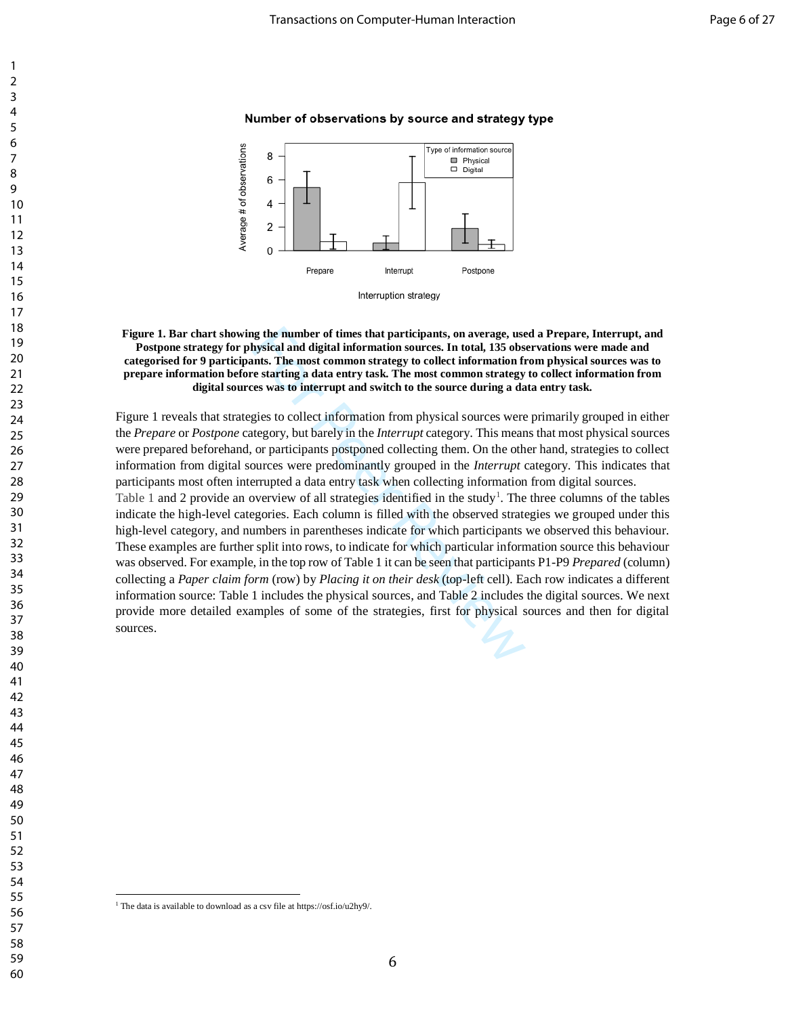### Number of observations by source and strategy type



**Figure 1. Bar chart showing the number of times that participants, on average, used a Prepare, Interrupt, and Postpone strategy for physical and digital information sources. In total, 135 observations were made and categorised for 9 participants. The most common strategy to collect information from physical sources was to prepare information before starting a data entry task. The most common strategy to collect information from digital sources was to interrupt and switch to the source during a data entry task.**

[Figure 1](#page-6-0) reveals that strategies to collect information from physical sources were primarily grouped in either the *Prepare* or *Postpone* category, but barely in the *Interrupt* category. This means that most physical sources were prepared beforehand, or participants postponed collecting them. On the other hand, strategies to collect information from digital sources were predominantly grouped in the *Interrupt* category. This indicates that participants most often interrupted a data entry task when collecting information from digital sources.

<span id="page-6-0"></span>ng the number of times that participants, on average, use<br>hysical and digital information sources. In total, 135 obs<br>nnts. The most common strategy to collect information fi<br>e starting a data entry task. The most common st [Table 1](#page-7-0) and 2 provide an overview of all strategies identified in the study<sup>1</sup>. The three columns of the tables indicate the high-level categories. Each column is filled with the observed strategies we grouped under this high-level category, and numbers in parentheses indicate for which participants we observed this behaviour. These examples are further split into rows, to indicate for which particular information source this behaviour was observed. For example, in the top row of Table 1 it can be seen that participants P1-P9 *Prepared* (column) collecting a *Paper claim form* (row) by *Placing it on their desk* (top-left cell). Each row indicates a different information source: Table 1 includes the physical sources, and Table 2 includes the digital sources. We next provide more detailed examples of some of the strategies, first for physical sources and then for digital sources.

 

 $\overline{a}$ 

The data is available to download as a csv file at https://osf.io/u2hy9/.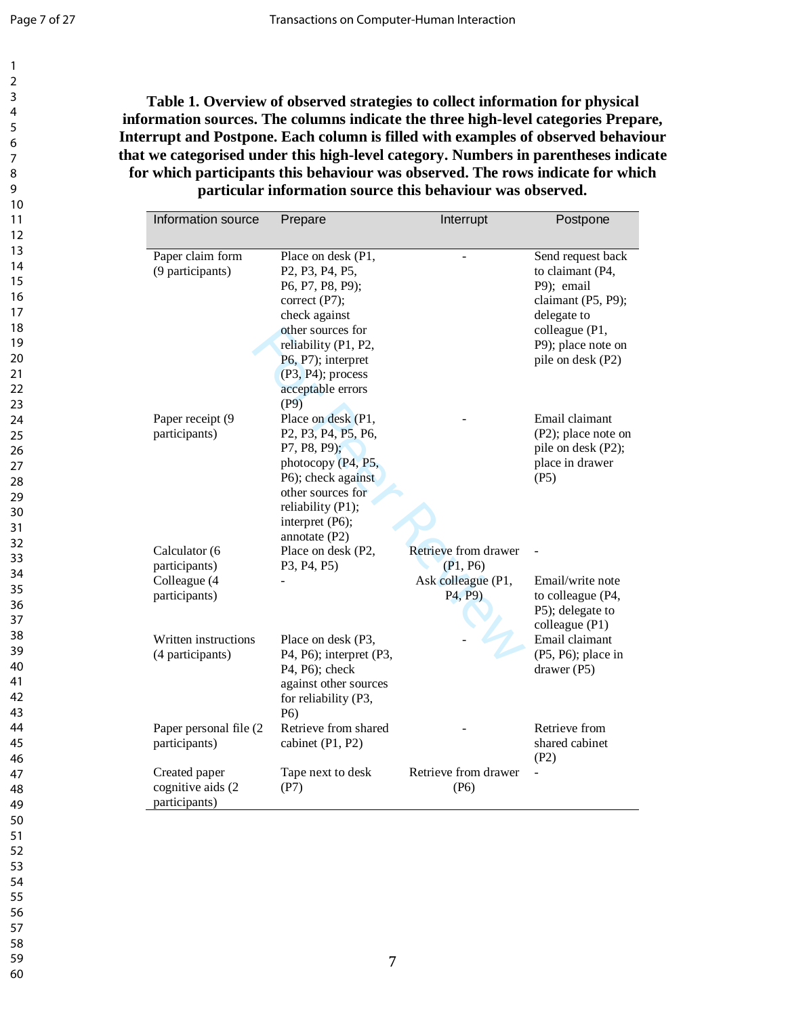<span id="page-7-0"></span>**Table 1. Overview of observed strategies to collect information for physical information sources. The columns indicate the three high -level categories Prepare, Interrupt and Postpone. Each column is filled with examples of observed behaviour that we categorised under this high -level category. Numbers in parentheses indicate for which participants this behaviour was observed. The rows indicate for which particular information source this behaviour was observed.**

| Information source                                  | Prepare                                                                                                                                                                                                                                                                 | Interrupt                                                           | Postpone                                                                                                                                              |
|-----------------------------------------------------|-------------------------------------------------------------------------------------------------------------------------------------------------------------------------------------------------------------------------------------------------------------------------|---------------------------------------------------------------------|-------------------------------------------------------------------------------------------------------------------------------------------------------|
|                                                     |                                                                                                                                                                                                                                                                         |                                                                     |                                                                                                                                                       |
| Paper claim form<br>(9 participants)                | Place on desk (P1,<br>P <sub>2</sub> , P <sub>3</sub> , P <sub>4</sub> , P <sub>5</sub> ,<br>P6, P7, P8, P9);<br>correct (P7);<br>check against<br>other sources for<br>reliability (P1, P2,<br>P6, P7); interpret<br>$(P3, P4)$ ; process<br>acceptable errors<br>(P9) |                                                                     | Send request back<br>to claimant (P4,<br>P9); email<br>claimant (P5, P9);<br>delegate to<br>colleague (P1,<br>P9); place note on<br>pile on desk (P2) |
| Paper receipt (9<br>participants)                   | Place on desk (P1,<br>P <sub>2</sub> , P <sub>3</sub> , P <sub>4</sub> , P <sub>5</sub> , P <sub>6</sub> ,<br>P7, P8, P9);<br>photocopy (P4, P5,<br>P6); check against<br>other sources for<br>reliability (P1);<br>interpret (P6);<br>annotate $(P2)$                  |                                                                     | Email claimant<br>(P2); place note on<br>pile on desk (P2);<br>place in drawer<br>(P5)                                                                |
| Calculator (6                                       | Place on desk (P2,                                                                                                                                                                                                                                                      | Retrieve from drawer                                                |                                                                                                                                                       |
| participants)<br>Colleague (4<br>participants)      | P3, P4, P5)                                                                                                                                                                                                                                                             | (P1, P6)<br>Ask colleague (P1,<br>P <sub>4</sub> , P <sub>9</sub> ) | Email/write note<br>to colleague (P4,<br>P5); delegate to<br>colleague (P1)                                                                           |
| Written instructions<br>(4 participants)            | Place on desk (P3,<br>P4, P6); interpret (P3,<br>P4, P6); check<br>against other sources<br>for reliability (P3,<br>P <sub>6</sub> )                                                                                                                                    |                                                                     | Email claimant<br>$(P5, P6)$ ; place in<br>drawer (P5)                                                                                                |
| Paper personal file (2)<br>participants)            | Retrieve from shared<br>cabinet (P1, P2)                                                                                                                                                                                                                                |                                                                     | Retrieve from<br>shared cabinet<br>(P2)                                                                                                               |
| Created paper<br>cognitive aids (2<br>participants) | Tape next to desk<br>(P7)                                                                                                                                                                                                                                               | Retrieve from drawer<br>(P6)                                        |                                                                                                                                                       |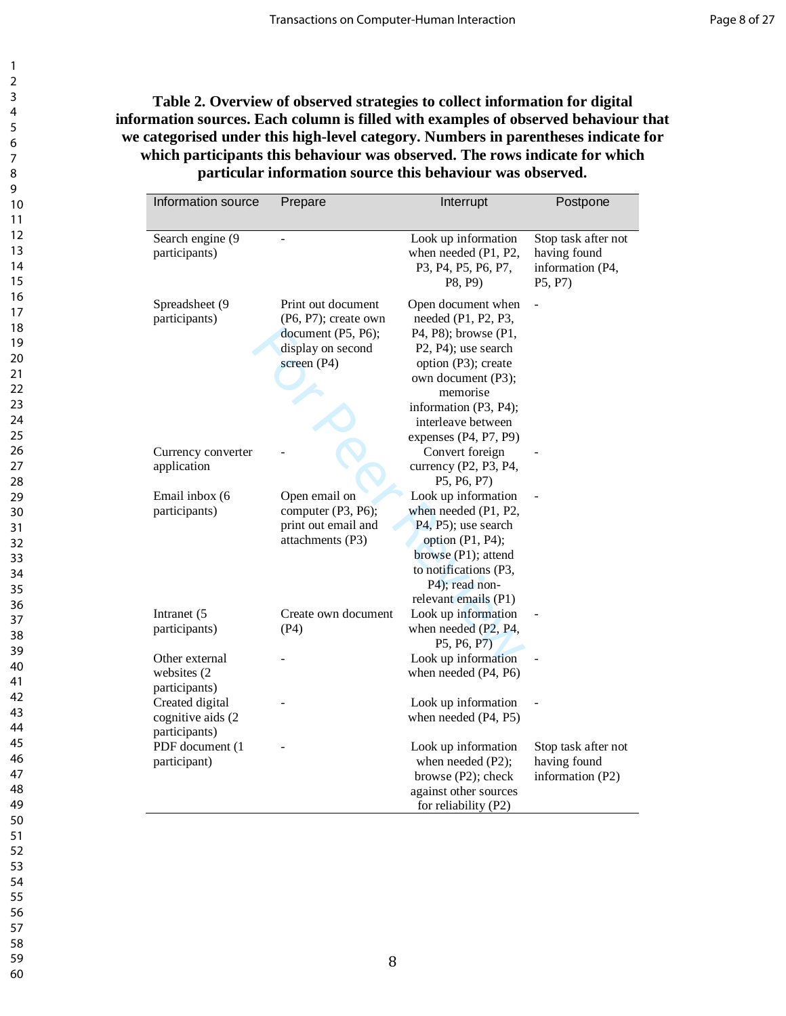## **Table 2. Overview of observed strategies to collect information for digital information sources. Each column is filled with examples of observed behaviour that we categorised under this high-level category. Numbers in parentheses indicate for which participants this behaviour was observed. The rows indicate for which particular information source this behaviour was observed.**

| Information source                                    | Prepare                                                                                                 | Interrupt                                                                                                                                                                                                                   | Postpone                                                           |
|-------------------------------------------------------|---------------------------------------------------------------------------------------------------------|-----------------------------------------------------------------------------------------------------------------------------------------------------------------------------------------------------------------------------|--------------------------------------------------------------------|
| Search engine (9<br>participants)                     |                                                                                                         | Look up information<br>when needed (P1, P2,<br>P3, P4, P5, P6, P7,<br>P8, P9)                                                                                                                                               | Stop task after not<br>having found<br>information (P4,<br>P5, P7) |
| Spreadsheet (9<br>participants)                       | Print out document<br>$(P6, P7)$ ; create own<br>document (P5, P6);<br>display on second<br>screen (P4) | Open document when<br>needed (P1, P2, P3,<br>P4, P8); browse (P1,<br>P2, P4); use search<br>option (P3); create<br>own document (P3);<br>memorise<br>information (P3, P4);<br>interleave between<br>expenses $(P4, P7, P9)$ |                                                                    |
| Currency converter<br>application                     |                                                                                                         | Convert foreign<br>currency (P2, P3, P4,<br>P5, P6, P7)                                                                                                                                                                     |                                                                    |
| Email inbox (6<br>participants)                       | Open email on<br>computer (P3, P6);<br>print out email and<br>attachments (P3)                          | Look up information<br>when needed (P1, P2,<br>P <sub>4</sub> , P <sub>5</sub> ); use search<br>option (P1, P4);<br>browse (P1); attend<br>to notifications (P3,<br>P4); read non-<br>relevant emails (P1)                  |                                                                    |
| Intranet (5<br>participants)                          | Create own document<br>(P4)                                                                             | Look up information<br>when needed (P2, P4,<br>P5, P6, P7)                                                                                                                                                                  |                                                                    |
| Other external<br>websites (2)<br>participants)       |                                                                                                         | Look up information<br>when needed (P4, P6)                                                                                                                                                                                 |                                                                    |
| Created digital<br>cognitive aids (2<br>participants) |                                                                                                         | Look up information<br>when needed (P4, P5)                                                                                                                                                                                 |                                                                    |
| PDF document (1<br>participant)                       |                                                                                                         | Look up information<br>when needed (P2);<br>browse (P2); check<br>against other sources<br>for reliability (P2)                                                                                                             | Stop task after not<br>having found<br>information (P2)            |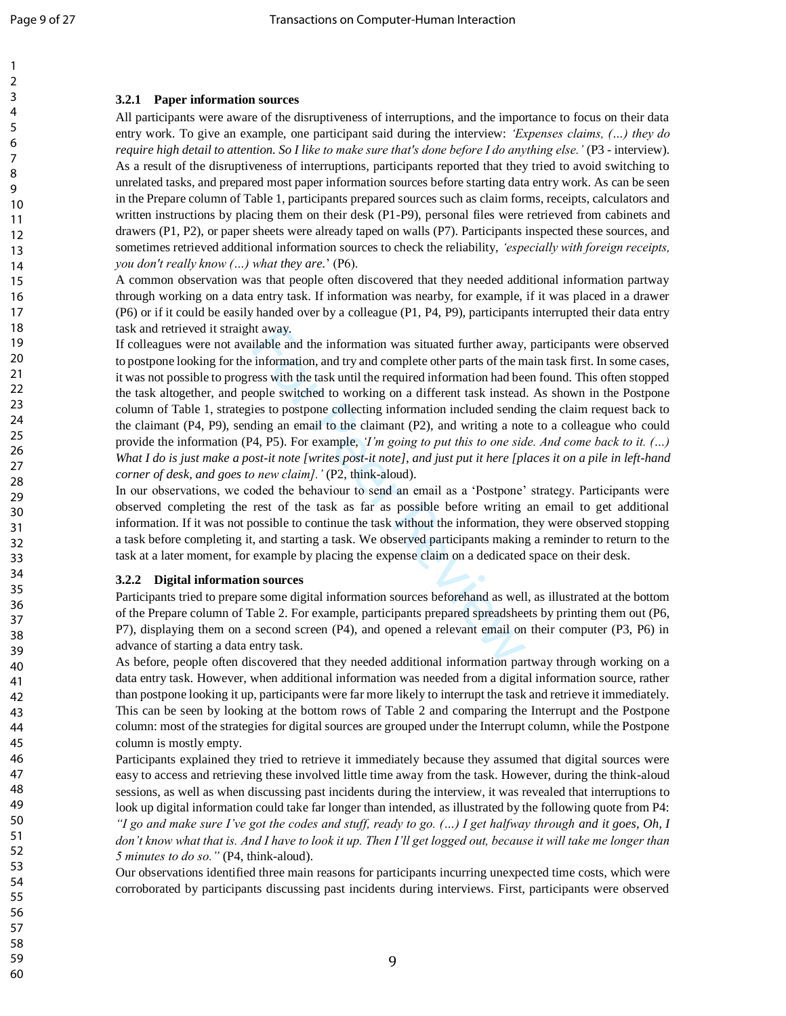## **3.2.1 Paper information sources**

All participants were aware of the disruptiveness of interruptions, and the importance to focus on their data entry work. To give an example, one participant said during the interview: *'Expenses claims, (…) they do*  require high detail to attention. So I like to make sure that's done before I do anything else.' (P3 - interview). As a result of the disruptiveness of interruptions, participants reported that they tried to avoid switching to unrelated tasks, and prepared most paper information sources before starting data entry work. As can be seen in the Prepare column of Table 1, participants prepared sources such as claim forms, receipts, calculators and written instructions by placing them on their desk (P1-P9), personal files were retrieved from cabinets and drawers (P1, P2), or paper sheets were already taped on walls (P7). Participants inspected these sources, and sometimes retrieved additional information sources to check the reliability, *'especially with foreign receipts, you don't really know (…) what they are.*' (P6).

A common observation was that people often discovered that they needed additional information partway through working on a data entry task. If information was nearby, for example, if it was placed in a drawer (P6) or if it could be easily handed over by a colleague (P1, P4, P9), participants interrupted their data entry task and retrieved it straight away.

It away.<br>
ilable and the information was situated further away,<br>
information, and try and complete other parts of the m<br>
ess with the task until the required information had bee<br>
opple switched to working on a different t If colleagues were not available and the information was situated further away, participants were observed to postpone looking for the information, and try and complete other parts of the main task first. In some cases, it was not possible to progress with the task until the required information had been found. This often stopped the task altogether, and people switched to working on a different task instead. As shown in the Postpone column of Table 1, strategies to postpone collecting information included sending the claim request back to the claimant (P4, P9), sending an email to the claimant (P2), and writing a note to a colleague who could provide the information (P4, P5). For example, *'I'm going to put this to one side. And come back to it. (…)*  What I do is just make a post-it note [writes post-it note], and just put it here [places it on a pile in left-hand *corner of desk, and goes to new claim].'* (P2, think -aloud).

In our observations, we coded the behaviour to send an email as a 'Postpone' strategy. Participants were observed completing the rest of the task as far as possible before writing an email to get additional information. If it was not possible to continue the task without the information, they were observed stopping a task before completing it, and starting a task. We observed participants making a reminder to return to the task at a later moment, for example by placing the expense claim on a dedicated space on their desk.

### **3.2.2 Digital information sources**

Participants tried to prepare some digital information sources beforehand as well, as illustrated at the bottom of the Prepare column of Table 2. For example, participants prepared spreadsheets by printing them out (P6, P7), displaying them on a second screen (P4), and opened a relevant email on their computer (P3, P6) in advance of starting a data entry task.

As before, people often discovered that they needed additional information partway through working on a data entry task. However, when additional information was needed from a digital information source, rather than postpone looking it up, participants were far more likely to interrupt the task and retrieve it immediately. This can be seen by looking at the bottom rows of Table 2 and comparing the Interrupt and the Postpone column: most of the strategies for digital sources are grouped under the Interrupt column, while the Postpone column is mostly empty.

Participants explained they tried to retrieve it immediately because they assumed that digital sources were easy to access and retrieving these involved little time away from the task. However, during the think-aloud sessions, as well as when discussing past incidents during the interview, it was revealed that interruptions to look up digital information could take far longer than intended, as illustrated by the following quote from P4: *"I go and make sure I've got the codes and stuff, ready to go. (…) I get halfway through and it goes, Oh, I*  don't know what that is. And I have to look it up. Then I'll get logged out, because it will take me longer than *5 minutes to do so."* (P4, think -aloud).

Our observations identified three main reasons for participants incurring unexpected time costs, which were corroborated by participants discussing past incidents during interviews. First, participants were observed

9

55 56

54

57 58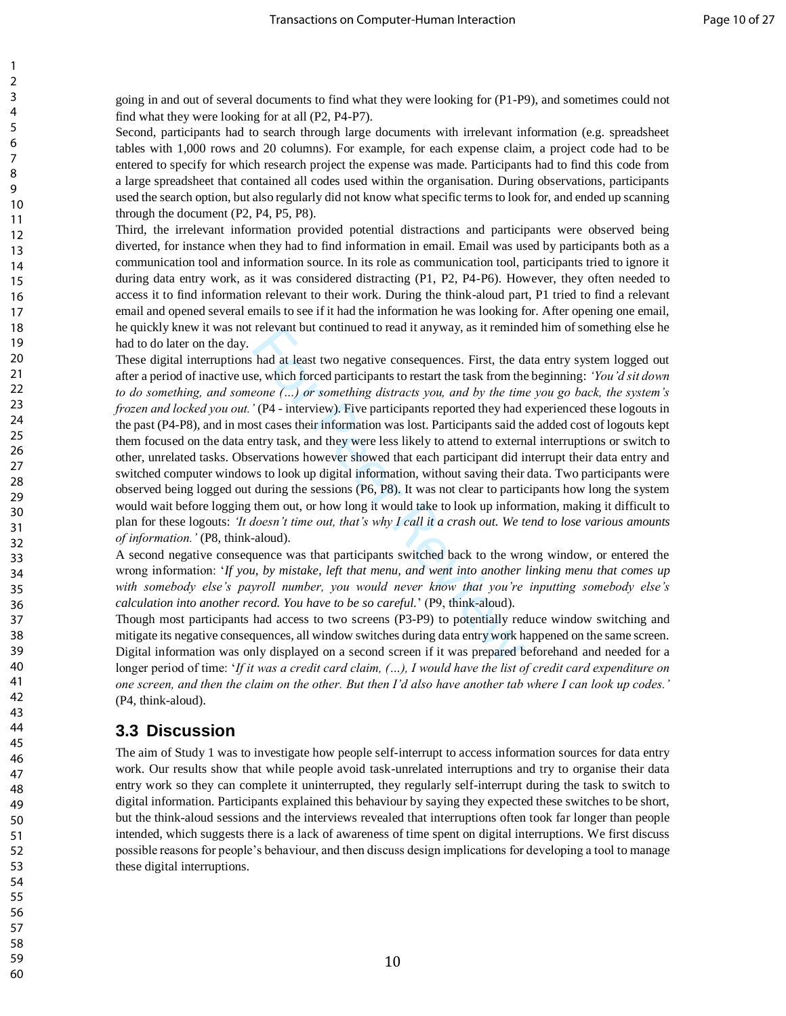going in and out of several documents to find what they were looking for (P1-P9), and sometimes could not find what they were looking for at all (P2, P4-P7).

Second, participants had to search through large documents with irrelevant information (e.g. spreadsheet tables with 1,000 rows and 20 columns). For example, for each expense claim, a project code had to be entered to specify for which research project the expense was made. Participants had to find this code from a large spreadsheet that contained all codes used within the organisation. During observations, participants used the search option, but also regularly did not know what specific terms to look for, and ended up scanning through the document (P2, P4, P5, P8).

Third, the irrelevant information provided potential distractions and participants were observed being diverted, for instance when they had to find information in email. Email was used by participants both as a communication tool and information source. In its role as communication tool, participants tried to ignore it during data entry work, as it was considered distracting (P1, P2, P4-P6). However, they often needed to access it to find information relevant to their work. During the think-aloud part, P1 tried to find a relevant email and opened several emails to see if it had the information he was looking for. After opening one email, he quickly knew it was not relevant but continued to read it anyway, as it reminded him of something else he had to do later on the day.

relevant but continued to read it anyway, as it remind<br>had at least two negative consequences. First, the die,<br>e, which forced participants to restart the task from the<br>eone  $(\ldots)$  or something distracts you, and by the t These digital interruptions had at least two negative consequences. First, the data entry system logged out after a period of inactive use, which forced participants to restart the task from the beginning: *'You'd sit down to do something, and someone (…) or something distracts you, and by the time you go back, the system's frozen and locked you out.'* (P4 - interview). Five participants reported they had experienced these logouts in the past (P4-P8), and in most cases their information was lost. Participants said the added cost of logouts kept them focused on the data entry task, and they were less likely to attend to external interruptions or switch to other, unrelated tasks. Observations however showed that each participant did interrupt their data entry and switched computer windows to look up digital information, without saving their data. Two participants were observed being logged out during the sessions (P6, P8). It was not clear to participants how long the system would wait before logging them out, or how long it would take to look up information, making it difficult to plan for these logouts: *'It doesn't time out, that's why I call it a crash out. We tend to lose various amounts of information.'* (P8, think-aloud).

A second negative consequence was that participants switched back to the wrong window, or entered the wrong information: '*If you, by mistake, left that menu, and went into another linking menu that comes up with somebody else's payroll number, you would never know that you're inputting somebody else's calculation into another record. You have to be so careful.*' (P9, think-aloud).

Though most participants had access to two screens (P3-P9) to potentially reduce window switching and mitigate its negative consequences, all window switches during data entry work happened on the same screen. Digital information was only displayed on a second screen if it was prepared beforehand and needed for a longer period of time: '*If it was a credit card claim, (…), I would have the list of credit card expenditure on one screen, and then the claim on the other. But then I'd also have another tab where I can look up codes.'*  (P4, think-aloud).

## **3.3 Discussion**

The aim of Study 1 was to investigate how people self-interrupt to access information sources for data entry work. Our results show that while people avoid task-unrelated interruptions and try to organise their data entry work so they can complete it uninterrupted, they regularly self-interrupt during the task to switch to digital information. Participants explained this behaviour by saying they expected these switches to be short, but the think-aloud sessions and the interviews revealed that interruptions often took far longer than people intended, which suggests there is a lack of awareness of time spent on digital interruptions. We first discuss possible reasons for people's behaviour, and then discuss design implications for developing a tool to manage these digital interruptions.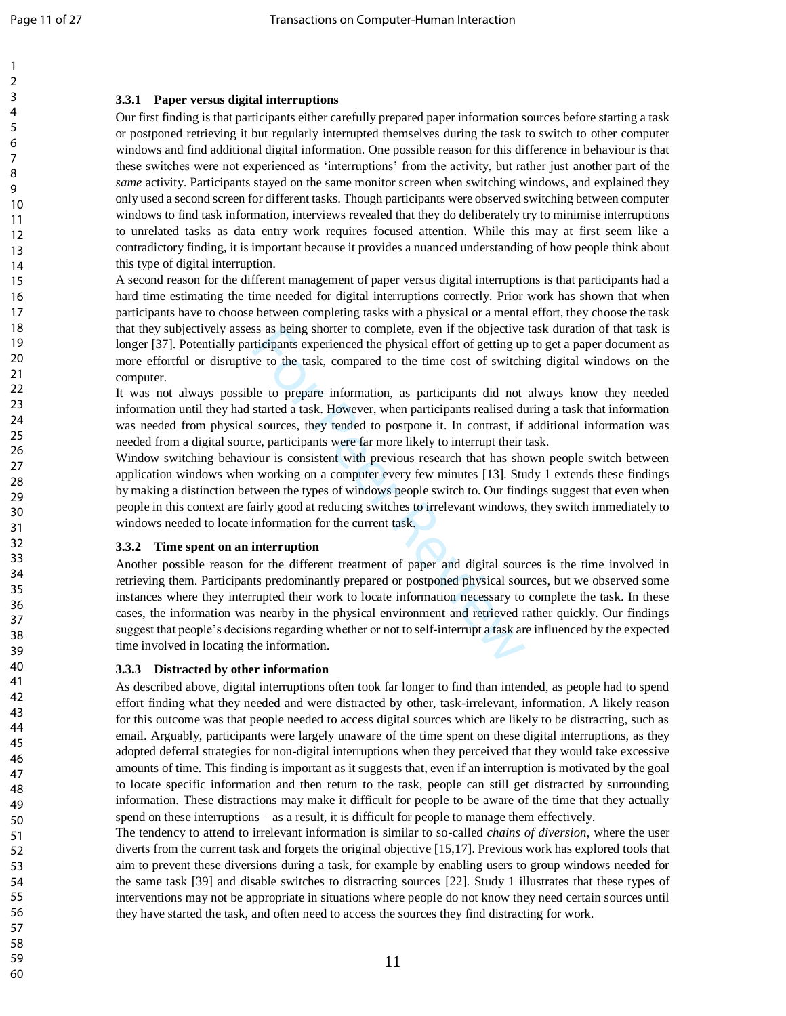### **3.3.1 Paper versus digital interruptions**

Our first finding is that participants either carefully prepared paper information sources before starting a task or postponed retrieving it but regularly interrupted themselves during the task to switch to other computer windows and find additional digital information. One possible reason for this difference in behaviour is that these switches were not experienced as 'interruptions' from the activity, but rather just another part of the *same* activity. Participants stayed on the same monitor screen when switching windows, and explained they only used a second screen for different tasks. Though participants were observed switching between computer windows to find task information, interviews revealed that they do deliberately try to minimise interruptions to unrelated tasks as data entry work requires focused attention. While this may at first seem like a contradictory finding, it is important because it provides a nuanced understanding of how people think about this type of digital interruption.

A second reason for the different management of paper versus digital interruptions is that participants had a hard time estimating the time needed for digital interruptions correctly. Prior work has shown that when participants have to choose between completing tasks with a physical or a mental effort, they choose the task that they subjectively assess as being shorter to complete, even if the objective task duration of that task is longer [37]. Potentially participants experienced the physical effort of getting up to get a paper document as more effortful or disruptive to the task, compared to the time cost of switching digital windows on the computer.

It was not always possible to prepare information, as participants did not always know they needed information until they had started a task. However, when participants realised during a task that information was needed from physical sources, they tended to postpone it. In contrast, if additional information was needed from a digital source, participants were far more likely to interrupt their task.

Window switching behaviour is consistent with previous research that has shown people switch between application windows when working on a computer every few minutes [13]. Study 1 extends these findings by making a distinction between the types of windows people switch to. Our findings suggest that even when people in this context are fairly good at reducing switches to irrelevant windows, they switch immediately to windows needed to locate information for the current task.

### **3.3.2 Time spent on an interruption**

so as being shorter to complete, even if the objective<br>tricipants experienced the physical effort of getting up<br>we to the task, compared to the time cost of switchi<br>le to prepare information, as participants did not<br>starte Another possible reason for the different treatment of paper and digital sources is the time involved in retrieving them. Participants predominantly prepared or postponed physical sources, but we observed some instances where they interrupted their work to locate information necessary to complete the task. In these cases, the information was nearby in the physical environment and retrieved rather quickly. Our findings suggest that people's decisions regarding whether or not to self-interrupt a task are influenced by the expected time involved in locating the information.

### **3.3.3 Distracted by other information**

As described above, digital interruptions often took far longer to find than intended, as people had to spend effort finding what they needed and were distracted by other, task -irrelevant, information. A likely reason for this outcome was that people needed to access digital sources which are likely to be distracting, such as email. Arguably, participants were largely unaware of the time spent on these digital interruptions, as they adopted deferral strategies for non -digital interruptions when they perceived that they would take excessive amounts of time. This finding is important as it suggests that, even if an interruption is motivated by the goal to locate specific information and then return to the task, people can still get distracted by surrounding information. These distractions may make it difficult for people to be aware of the time that they actually spend on these interruptions – as a result, it is difficult for people to manage them effectively.

The tendency to attend to irrelevant information is similar to so -called *chains of diversion*, where the user diverts from the current task and forgets the original objective [15,17]. Previous work has explored tools that aim to prevent these diversions during a task, for example by enabling users to group windows needed for the same task [39] and disable switches to distracting sources [22]. Study 1 illustrates that these types of interventions may not be appropriate in situations where people do not know they need certain sources until they have started the task, and often need to access the sources they find distracting for work.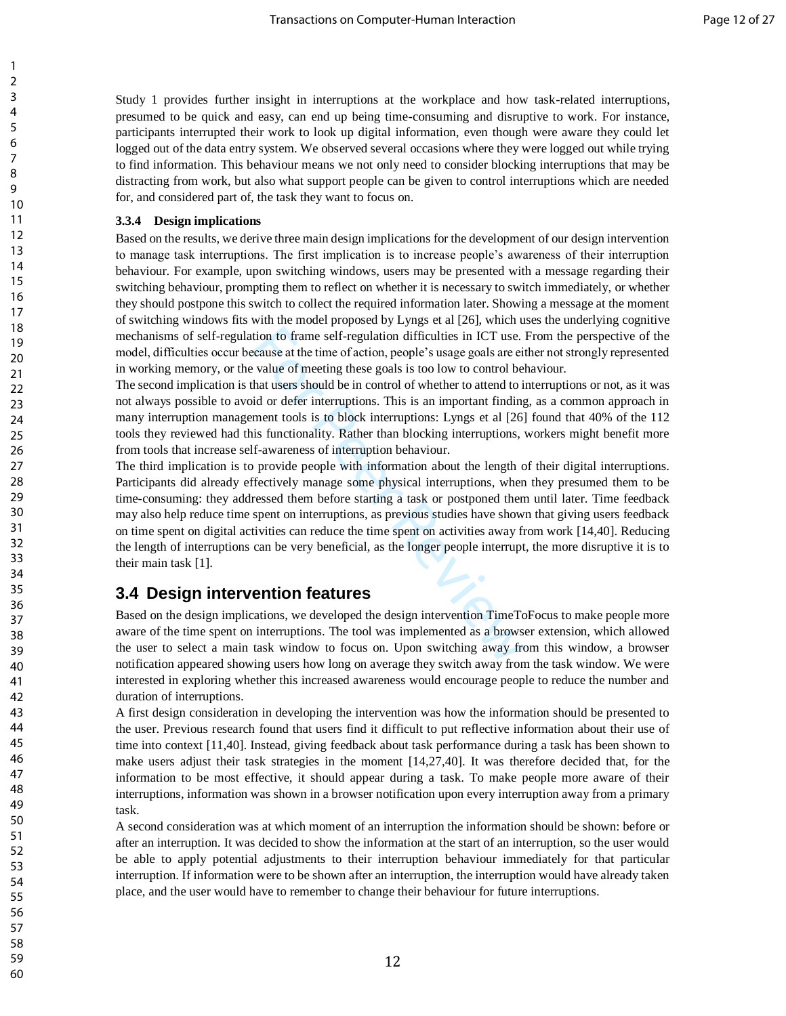Study 1 provides further insight in interruptions at the workplace and how task-related interruptions, presumed to be quick and easy, can end up being time-consuming and disruptive to work. For instance, participants interrupted their work to look up digital information, even though were aware they could let logged out of the data entry system. We observed several occasions where they were logged out while trying to find information. This behaviour means we not only need to consider blocking interruptions that may be distracting from work, but also what support people can be given to control interruptions which are needed for, and considered part of, the task they want to focus on.

### **3.3.4 Design implications**

Based on the results, we derive three main design implications for the development of our design intervention to manage task interruptions. The first implication is to increase people's awareness of their interruption behaviour. For example, upon switching windows, users may be presented with a message regarding their switching behaviour, prompting them to reflect on whether it is necessary to switch immediately, or whether they should postpone this switch to collect the required information later. Showing a message at the moment of switching windows fits with the model proposed by Lyngs et al [26], which uses the underlying cognitive mechanisms of self-regulation to frame self-regulation difficulties in ICT use. From the perspective of the model, difficulties occur because at the time of action, people's usage goals are either not strongly represented in working memory, or the value of meeting these goals is too low to control behaviour.

The second implication is that users should be in control of whether to attend to interruptions or not, as it was not always possible to avoid or defer interruptions. This is an important finding, as a common approach in many interruption management tools is to block interruptions: Lyngs et al [26] found that 40% of the 112 tools they reviewed had this functionality. Rather than blocking interruptions, workers might benefit more from tools that increase self-awareness of interruption behaviour.

tion to frame self-regulation difficulties in ICT use. I<br>cause at the time of action, people's usage goals are eit<br>value of meeting these goals is too low to control bel<br>hat users should be in control of whether to attend The third implication is to provide people with information about the length of their digital interruptions. Participants did already effectively manage some physical interruptions, when they presumed them to be time-consuming: they addressed them before starting a task or postponed them until later. Time feedback may also help reduce time spent on interruptions, as previous studies have shown that giving users feedback on time spent on digital activities can reduce the time spent on activities away from work [14,40]. Reducing the length of interruptions can be very beneficial, as the longer people interrupt, the more disruptive it is to their main task [1].

## **3.4 Design intervention features**

Based on the design implications, we developed the design intervention TimeToFocus to make people more aware of the time spent on interruptions. The tool was implemented as a browser extension, which allowed the user to select a main task window to focus on. Upon switching away from this window, a browser notification appeared showing users how long on average they switch away from the task window. We were interested in exploring whether this increased awareness would encourage people to reduce the number and duration of interruptions.

A first design consideration in developing the intervention was how the information should be presented to the user. Previous research found that users find it difficult to put reflective information about their use of time into context [11,40]. Instead, giving feedback about task performance during a task has been shown to make users adjust their task strategies in the moment [14,27,40]. It was therefore decided that, for the information to be most effective, it should appear during a task. To make people more aware of their interruptions, information was shown in a browser notification upon every interruption away from a primary task.

A second consideration was at which moment of an interruption the information should be shown: before or after an interruption. It was decided to show the information at the start of an interruption, so the user would be able to apply potential adjustments to their interruption behaviour immediately for that particular interruption. If information were to be shown after an interruption, the interruption would have already taken place, and the user would have to remember to change their behaviour for future interruptions.

60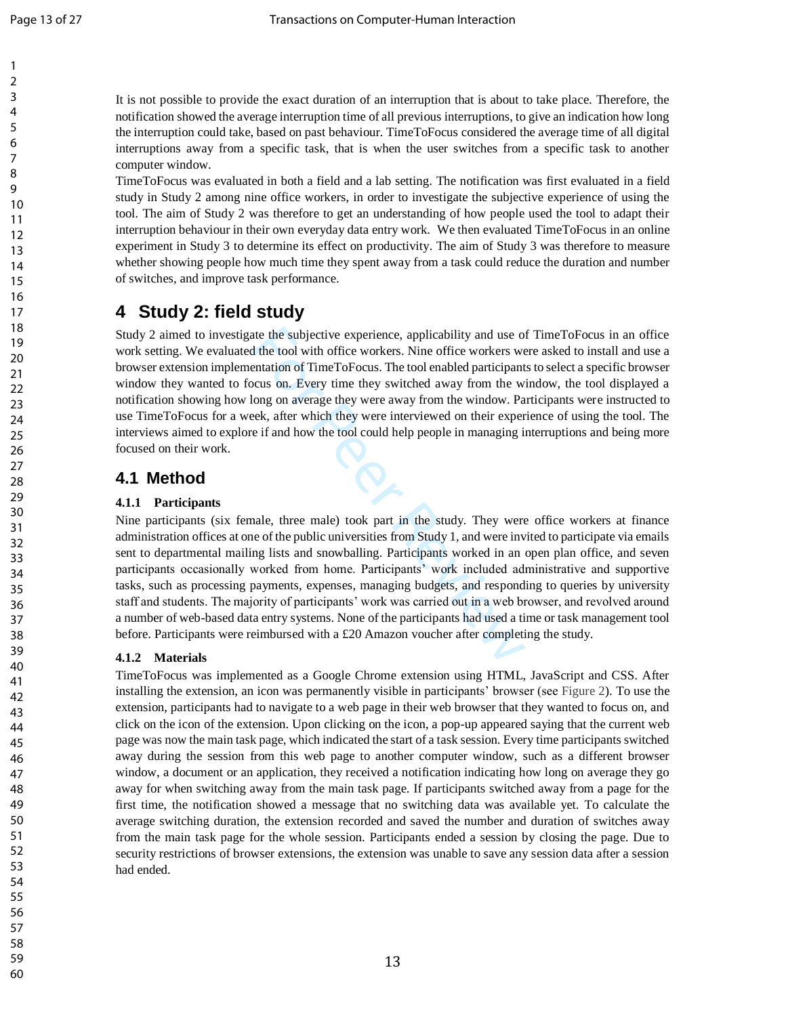It is not possible to provide the exact duration of an interruption that is about to take place. Therefore, the notification showed the average interruption time of all previous interruptions, to give an indication how long the interruption could take, based on past behaviour. TimeToFocus considered the average time of all digital interruptions away from a specific task, that is when the user switches from a specific task to another computer window.

TimeToFocus was evaluated in both a field and a lab setting. The notification was first evaluated in a field study in Study 2 among nine office workers, in order to investigate the subjective experience of using the tool. The aim of Study 2 was therefore to get an understanding of how people used the tool to adapt their interruption behaviour in their own everyday data entry work. We then evaluated TimeToFocus in an online experiment in Study 3 to determine its effect on productivity. The aim of Study 3 was therefore to measure whether showing people how much time they spent away from a task could reduce the duration and number of switches, and improve task performance.

# **4 Study 2: field study**

Study 2 aimed to investigate the subjective experience, applicability and use of TimeToFocus in an office work setting. We evaluated the tool with office workers. Nine office workers were asked to install and use a browser extension implementation of TimeToFocus. The tool enabled participants to select a specific browser window they wanted to focus on. Every time they switched away from the window, the tool displayed a notification showing how long on average they were away from the window. Participants were instructed to use TimeToFocus for a week, after which they were interviewed on their experience of using the tool. The interviews aimed to explore if and how the tool could help people in managing interruptions and being more focused on their work.

# **4.1 Method**

## **4.1.1 Participants**

the the subjective experience, applicability and use of the tool with office workers. Nine office workers we entation of TimeToFocus. The tool enabled participant cous on. Every time they switched away from the wilong on a Nine participants (six female, three male) took part in the study. They were office workers at finance administration offices at one of the public universities from Study 1, and were invited to participate via emails sent to departmental mailing lists and snowballing. Participants worked in an open plan office, and seven participants occasionally worked from home. Participants' work included administrative and supportive tasks, such as processing payments, expenses, managing budgets, and responding to queries by university staff and students. The majority of participants' work was carried out in a web browser, and revolved around a number of web -based data entry systems. None of the participants had used a time or task management tool before. Participants were reimbursed with a £20 Amazon voucher after completing the study.

## **4.1.2 Materials**

TimeToFocus was implemented as a Google Chrome extension using HTML, JavaScript and CSS. After installing the extension, an icon was permanently visible in participants' browser (see [Figure](#page-14-0)  2). To use the extension, participants had to navigate to a web page in their web browser that they wanted to focus on, and click on the icon of the extension. Upon clicking on the icon, a pop -up appeared saying that the current web page was now the main task page, which indicated the start of a task session. Every time participants switched away during the session from this web page to another computer window, such as a different browser window, a document or an application, they received a notification indicating how long on average they go away for when switching away from the main task page. If participants switched away from a page for the first time, the notification showed a message that no switching data was available yet. To calculate the average switching duration, the extension recorded and saved the number and duration of switches away from the main task page for the whole session. Participants ended a session by closing the page. Due to security restrictions of browser extensions, the extension was unable to save any session data after a session had ended.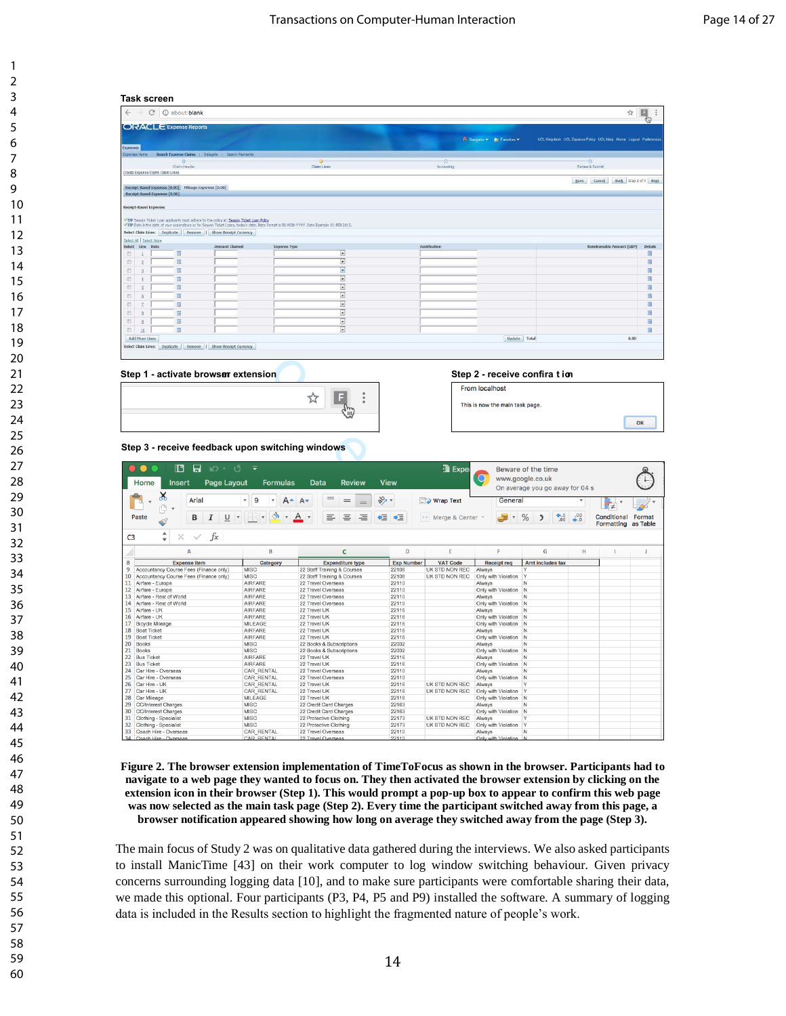|                               |                                                       |                                                                                           |                                                                                                                                           |                 |                                                 | ☆                                                              | $\mathbb{F}_{\mathbb{Q}}$ |
|-------------------------------|-------------------------------------------------------|-------------------------------------------------------------------------------------------|-------------------------------------------------------------------------------------------------------------------------------------------|-----------------|-------------------------------------------------|----------------------------------------------------------------|---------------------------|
|                               | ORACLE Expense Reports                                |                                                                                           |                                                                                                                                           |                 |                                                 |                                                                |                           |
|                               |                                                       |                                                                                           |                                                                                                                                           |                 | <b>R</b> Nangator <b>Y R</b> Favorites <b>Y</b> | UCL Helpdesk UCL Expense Policy UCL Help Home Logout Preferent |                           |
| <b>Expenses</b>               |                                                       |                                                                                           |                                                                                                                                           |                 |                                                 |                                                                |                           |
|                               |                                                       | Expenses Home   Search Expense Claims   Delegate   Search Payments                        |                                                                                                                                           |                 |                                                 |                                                                |                           |
|                               | Ø.<br>Claim Header                                    |                                                                                           | <b>Claim Lines</b>                                                                                                                        | ۰<br>Accounting |                                                 | Ð<br>Review & Submit                                           |                           |
|                               | Create Expense Claim: Claim Lines                     |                                                                                           |                                                                                                                                           |                 |                                                 |                                                                |                           |
|                               |                                                       |                                                                                           |                                                                                                                                           |                 |                                                 | Back Step 2 of 4 Neg<br>Cancel<br>Save                         |                           |
|                               | Receipt-Based Expenses [0.00] Mileage Expenses [0.00] |                                                                                           |                                                                                                                                           |                 |                                                 |                                                                |                           |
|                               | Receipt-Based Expenses [0.00]                         |                                                                                           |                                                                                                                                           |                 |                                                 |                                                                |                           |
| <b>Receipt-Based Expenses</b> |                                                       |                                                                                           |                                                                                                                                           |                 |                                                 |                                                                |                           |
|                               |                                                       |                                                                                           |                                                                                                                                           |                 |                                                 |                                                                |                           |
|                               |                                                       | TIP Season Ticket Loan applicants must adhere to the policy at: Season Ticket Loan Policy | TIP Date is the date of your expenditure or for Season Ticket Loans, today's date. Date Format is DD-MON-YYYY. Date Example: 01-FEB-2015. |                 |                                                 |                                                                |                           |
|                               |                                                       | Select Claim Lines: Duplicate Remove   Show Receipt Currency                              |                                                                                                                                           |                 |                                                 |                                                                |                           |
| Select Al Select None         |                                                       |                                                                                           |                                                                                                                                           |                 |                                                 |                                                                |                           |
| Select Line Date              |                                                       | Amount Claimed                                                                            | <b>Expense Type</b>                                                                                                                       | Justification   |                                                 | Reimbursable Amount (GBP)                                      | Details                   |
| 目<br>18                       | 目                                                     |                                                                                           | ▣                                                                                                                                         |                 |                                                 |                                                                | 画                         |
| 目<br>12                       | 扉                                                     |                                                                                           | ▣                                                                                                                                         |                 |                                                 |                                                                | 扇                         |
| 目                             | 龗                                                     |                                                                                           | Ξ                                                                                                                                         |                 |                                                 |                                                                | 福                         |
| 司                             | m                                                     |                                                                                           | $\vert x \vert$                                                                                                                           |                 |                                                 |                                                                | E                         |
| 西<br>×                        | m                                                     |                                                                                           | $\overline{z}$                                                                                                                            |                 |                                                 |                                                                | 圖                         |
| B.<br>16                      | 間                                                     |                                                                                           | $\overline{z}$                                                                                                                            |                 |                                                 |                                                                | 圖                         |
| D.                            | 园                                                     |                                                                                           | $\overline{z}$                                                                                                                            |                 |                                                 |                                                                | 這                         |
| 四<br>B                        | 面                                                     |                                                                                           | $\overline{\phantom{a}}$                                                                                                                  |                 |                                                 |                                                                | 圖                         |
| 图<br>$\overline{9}$           | 屇                                                     |                                                                                           | $\vert x \vert$                                                                                                                           |                 |                                                 |                                                                | 画                         |
| 百<br>10                       | 圖                                                     |                                                                                           | $\overline{z}$                                                                                                                            |                 |                                                 |                                                                | 同                         |
| <b>Add More Lines</b>         |                                                       |                                                                                           |                                                                                                                                           |                 | Update Total                                    | 0.00                                                           |                           |
|                               |                                                       | Select Claim Lines: Duplicate Remove   Show Receipt Currency                              |                                                                                                                                           |                 |                                                 |                                                                |                           |
|                               |                                                       |                                                                                           |                                                                                                                                           |                 |                                                 |                                                                |                           |
|                               |                                                       |                                                                                           |                                                                                                                                           |                 |                                                 |                                                                |                           |
|                               |                                                       |                                                                                           |                                                                                                                                           |                 | Step 2 - receive confira t ion                  |                                                                |                           |
|                               |                                                       | Step 1 - activate browser extension                                                       |                                                                                                                                           |                 |                                                 |                                                                |                           |
|                               |                                                       |                                                                                           |                                                                                                                                           |                 | From localhost                                  |                                                                |                           |
|                               |                                                       |                                                                                           | ☆                                                                                                                                         |                 |                                                 |                                                                |                           |
|                               |                                                       |                                                                                           |                                                                                                                                           |                 |                                                 |                                                                |                           |

| 面<br>ō.<br>10                                                              |                                                                  | ⊡                              |                   |                  |                                              |                                           |                  |             | 扁        |
|----------------------------------------------------------------------------|------------------------------------------------------------------|--------------------------------|-------------------|------------------|----------------------------------------------|-------------------------------------------|------------------|-------------|----------|
| <b>Add More Lines</b>                                                      |                                                                  |                                |                   |                  |                                              | Update Total                              |                  |             | 0.00     |
| Select Claim Lines: Duplicate Remove   Show Receipt Currency               |                                                                  |                                |                   |                  |                                              |                                           |                  |             |          |
|                                                                            |                                                                  |                                |                   |                  |                                              |                                           |                  |             |          |
|                                                                            |                                                                  |                                |                   |                  |                                              |                                           |                  |             |          |
| Step 1 - activate browser extension                                        |                                                                  |                                |                   |                  |                                              | Step 2 - receive confira tion             |                  |             |          |
|                                                                            |                                                                  |                                |                   |                  | <b>From localhost</b>                        |                                           |                  |             |          |
|                                                                            |                                                                  | ☆                              |                   |                  |                                              |                                           |                  |             |          |
|                                                                            |                                                                  |                                |                   |                  | This is now the main task page.              |                                           |                  |             |          |
|                                                                            |                                                                  |                                |                   |                  |                                              |                                           |                  |             |          |
|                                                                            |                                                                  |                                |                   |                  |                                              |                                           |                  |             | OK       |
|                                                                            |                                                                  |                                |                   |                  |                                              |                                           |                  |             |          |
|                                                                            |                                                                  |                                |                   |                  |                                              |                                           |                  |             |          |
| Step 3 - receive feedback upon switching windows                           |                                                                  |                                |                   |                  |                                              |                                           |                  |             |          |
|                                                                            |                                                                  |                                |                   |                  |                                              |                                           |                  |             |          |
|                                                                            |                                                                  |                                |                   |                  |                                              |                                           |                  |             |          |
| Œ<br>$\mathbf{H}$<br>$\mathbf{D}$ $\cdot$ 5                                | ∓                                                                |                                |                   | Ta Exper         |                                              | Beware of the time                        |                  |             |          |
|                                                                            |                                                                  |                                |                   |                  | $\mathbf{O}$                                 | www.google.co.uk                          |                  |             |          |
| Home<br><b>Page Layout</b><br><b>Insert</b>                                | <b>Formulas</b>                                                  | <b>Data</b><br><b>Review</b>   | <b>View</b>       |                  |                                              | On average you go away for 04 s           |                  |             |          |
| $\chi$                                                                     |                                                                  |                                |                   |                  |                                              |                                           |                  |             |          |
| Arial                                                                      | 9<br>$A -$<br>$\overline{\mathbf{v}}$<br>$\overline{\mathbf{v}}$ | $A^{\bullet}$<br>$=$           | $\frac{1}{2}$     | $\Box$ Wrap Text | General                                      |                                           |                  |             |          |
| ¢                                                                          |                                                                  |                                |                   |                  |                                              |                                           |                  | $\neq$      |          |
| $\underline{\underline{\mathsf{U}}}$<br>Paste<br>В<br>I<br>$\blacklozenge$ | $\overline{\mathbf v}$                                           | $A \rightarrow$<br>≣<br>Ξ<br>Ξ | ◆三<br>≣♦          | ← Merge & Center | $\boldsymbol{\mathrm{v}}$                    | $\bullet$ .0<br>.00<br>%<br>$\mathfrak z$ | $^{0.00}_{0.00}$ | Conditional | Format   |
|                                                                            |                                                                  |                                |                   |                  |                                              |                                           |                  | Formatting  | as Table |
| $\blacktriangle$<br>fx<br>×                                                |                                                                  |                                |                   |                  |                                              |                                           |                  |             |          |
| C <sub>3</sub><br>$\overline{\mathbf{v}}$                                  |                                                                  |                                |                   |                  |                                              |                                           |                  |             |          |
| A                                                                          | B                                                                | C                              | D                 | E                | E                                            | G                                         | H                |             | J        |
| 8<br><b>Expense item</b>                                                   | Category                                                         | <b>Expenditure type</b>        | <b>Exp Number</b> | <b>VAT Code</b>  | <b>Receipt req</b>                           | Amt includes tax                          |                  |             |          |
| 9<br>Accountancy Course Fees (Finance only)                                | <b>MISC</b>                                                      | 22 Staff Training & Courses    | 22108             | UK STD NON REC   | Always                                       | Y                                         |                  |             |          |
| 10<br>Accountancy Course Fees (Finance only)                               | <b>MISC</b>                                                      | 22 Staff Training & Courses    | 22108             | UK STD NON REC   | Only with Violation                          | ١Y                                        |                  |             |          |
| 11<br>Airfare - Europe                                                     | <b>AIRFARE</b>                                                   | 22 Travel Overseas             | 22110             |                  | Always                                       | N                                         |                  |             |          |
| 12<br>Airfare - Europe                                                     | <b>AIRFARE</b>                                                   | 22 Travel Overseas             | 22110             |                  | Only with Violation                          | IN.                                       |                  |             |          |
| Airfare - Rest of World<br>13                                              | <b>AIRFARE</b>                                                   | 22 Travel Overseas             | 22110             |                  | Always                                       | N                                         |                  |             |          |
| Airfare - Rest of World<br>14                                              | <b>AIRFARE</b>                                                   | 22 Travel Overseas             | 22110             |                  | Only with Violation N                        |                                           |                  |             |          |
| Airfare - UK<br>15                                                         | <b>AIRFARE</b>                                                   | 22 Travel UK                   | 22116             |                  | Always                                       | N                                         |                  |             |          |
| 16<br>Airfare - UK<br>17<br><b>Bicycle Mileage</b>                         | <b>AIRFARE</b><br>MILEAGE                                        | 22 Travel UK<br>22 Travel UK   | 22116<br>22116    |                  | Only with Violation N<br>Only with Violation | N                                         |                  |             |          |
| 18<br><b>Boat Ticket</b>                                                   | <b>AIRFARE</b>                                                   | 22 Travel UK                   | 22116             |                  | Always                                       | N                                         |                  |             |          |
| 19<br><b>Boat Ticket</b>                                                   | <b>AIRFARE</b>                                                   | 22 Travel UK                   | 22116             |                  | Only with Violation N                        |                                           |                  |             |          |
| 20<br><b>Books</b>                                                         | <b>MISC</b>                                                      | 22 Books & Subscriptions       | 22032             |                  | Always                                       | N                                         |                  |             |          |
| 21<br><b>Books</b>                                                         | <b>MISC</b>                                                      | 22 Books & Subscriptions       | 22032             |                  | Only with Violation                          | $\overline{N}$                            |                  |             |          |
| 22<br><b>Bus Ticket</b>                                                    | <b>AIRFARE</b>                                                   | 22 Travel UK                   | 22116             |                  | Always                                       | N                                         |                  |             |          |
| 23<br><b>Bus Ticket</b>                                                    | <b>AIRFARE</b>                                                   | 22 Travel UK                   | 22116             |                  | Only with Violation                          | $\overline{N}$                            |                  |             |          |
| 24<br>Car Hire - Overseas                                                  | <b>CAR RENTAL</b>                                                | 22 Travel Overseas             | 22110             |                  | Always                                       | N                                         |                  |             |          |
| 25<br>Car Hire - Overseas                                                  | <b>CAR RENTAL</b>                                                | 22 Travel Overseas             | 22110             |                  | Only with Violation                          | IN                                        |                  |             |          |
| 26<br>Car Hire - UK                                                        | CAR RENTAL                                                       | 22 Travel UK                   | 22116             | UK STD NON REC   | Always                                       | $\vee$                                    |                  |             |          |
| 27<br>Car Hire - UK                                                        | CAR_RENTAL                                                       | 22 Travel UK                   | 22116             | UK STD NON REC   | Only with Violation                          | $\mathsf{Y}$                              |                  |             |          |
| 28<br>Car Mileage                                                          | MILEAGE                                                          | 22 Travel UK                   | 22116             |                  | Only with Violation                          | IN.                                       |                  |             |          |
| 29<br><b>CC/Interest Charges</b>                                           | <b>MISC</b>                                                      | 22 Credit Card Charges         | 22163             |                  | Always                                       | N                                         |                  |             |          |
| 30<br><b>CC/Interest Charges</b>                                           | <b>MISC</b>                                                      | 22 Credit Card Charges         | 22163             |                  | Only with Violation                          | IN                                        |                  |             |          |
| 31<br>Clothing - Specialist                                                | <b>MISC</b>                                                      | 22 Protective Clothing         | 22173             | UK STD NON REC   | Always                                       | Υ                                         |                  |             |          |
| 32<br>Clothing - Specialist                                                | <b>MISC</b>                                                      | 22 Protective Clothing         | 22173             | UK STD NON REC   | Only with Violation                          | <b>Y</b>                                  |                  |             |          |
| 33<br>Coach Hire - Overseas                                                | CAR_RENTAL                                                       | 22 Travel Overseas             | 22110             |                  | Always                                       | N                                         |                  |             |          |

<span id="page-14-0"></span>**Figure 2. The browser extension implementation of TimeToFocus as shown in the browser. Participants had to navigate to a web page they wanted to focus on. They then activated the browser extension by clicking on the extension icon in their browser (Step 1). This would prompt a pop-up box to appear to confirm this web page was now selected as the main task page (Step 2). Every time the participant switched away from this page, a browser notification appeared showing how long on average they switched away from the page (Step 3).**

The main focus of Study 2 was on qualitative data gathered during the interviews. We also asked participants to install ManicTime [43] on their work computer to log window switching behaviour. Given privacy concerns surrounding logging data [10], and to make sure participants were comfortable sharing their data, we made this optional. Four participants (P3, P4, P5 and P9) installed the software. A summary of logging data is included in the Results section to highlight the fragmented nature of people's work.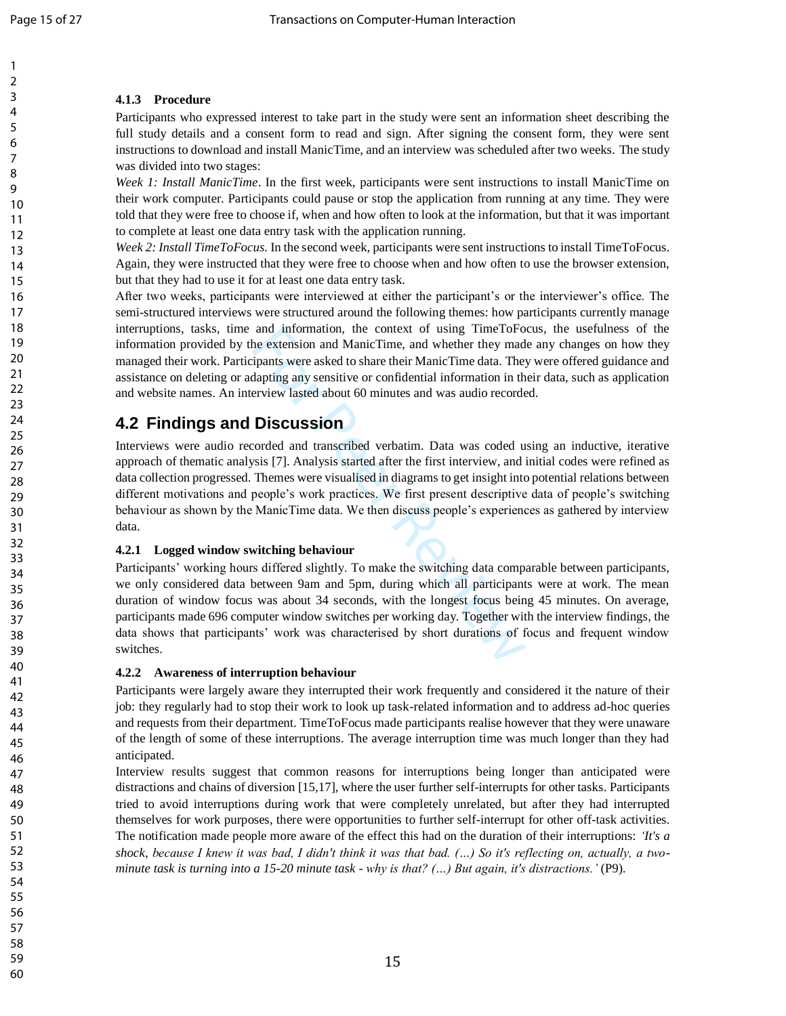## **4.1.3 Procedure**

Participants who expressed interest to take part in the study were sent an information sheet describing the full study details and a consent form to read and sign. After signing the consent form, they were sent instructions to download and install ManicTime, and an interview was scheduled after two weeks. The study was divided into two stages:

*Week 1: Install ManicTime*. In the first week, participants were sent instructions to install ManicTime on their work computer. Participants could pause or stop the application from running at any time. They were told that they were free to choose if, when and how often to look at the information, but that it was important to complete at least one data entry task with the application running.

*Week 2: Install TimeToFocus.* In the second week, participants were sent instructions to install TimeToFocus. Again, they were instructed that they were free to choose when and how often to use the browser extension, but that they had to use it for at least one data entry task.

After two weeks, participants were interviewed at either the participant's or the interviewer's office. The semi -structured interviews were structured around the following themes: how participants currently manage interruptions, tasks, time and information, the context of using TimeToFocus, the usefulness of the information provided by the extension and ManicTime, and whether they made any changes on how they managed their work. Participants were asked to share their ManicTime data. They were offered guidance and assistance on deleting or adapting any sensitive or confidential information in their data, such as application and website names. An interview lasted about 60 minutes and was audio recorded.

# **4.2 Findings and Discussion**

and information, the context of using TimeToFo<br>he extension and ManicTime, and whether they mad<br>ipants were asked to share their ManicTime data. The<br>dapting any sensitive or confidential information in th<br>erview lasted abo Interviews were audio recorded and transcribed verbatim. Data was coded using an inductive, iterative approach of thematic analysis [7]. Analysis started after the first interview, and initial codes were refined as data collection progressed. Themes were visualised in diagrams to get insight into potential relations between different motivations and people's work practices. We first present descriptive data of people's switching behaviour as shown by the ManicTime data. We then discuss people's experiences as gathered by interview data.

### **4.2.1 Logged window switching behaviour**

Participants' working hours differed slightly. To make the switching data comparable between participants, we only considered data between 9am and 5pm, during which all participants were at work. The mean duration of window focus was about 34 seconds, with the longest focus being 45 minutes. On average, participants made 696 computer window switches per working day. Together with the interview findings, the data shows that participants' work was characterised by short durations of focus and frequent window switches.

### **4.2.2 Awareness of interruption behaviour**

Participants were largely aware they interrupted their work frequently and considered it the nature of their job: they regularly had to stop their work to look up task -related information and to address ad -hoc queries and requests from their department. TimeToFocus made participants realise however that they were unaware of the length of some of these interruptions. The average interruption time was much longer than they had anticipated.

Interview results suggest that common reasons for interruptions being longer than anticipated were distractions and chains of diversion [15,17], where the user further self-interrupts for other tasks. Participants tried to avoid interruptions during work that were completely unrelated, but after they had interrupted themselves for work purposes, there were opportunities to further self-interrupt for other off-task activities. The notification made people more aware of the effect this had on the duration of their interruptions: *'It's a shock, because I knew it was bad, I didn't think it was that bad. (…) So it's reflecting on, actually, a two*  minute task is turning into a 15-20 minute task - why is that? (...) But again, it's distractions.' (P9).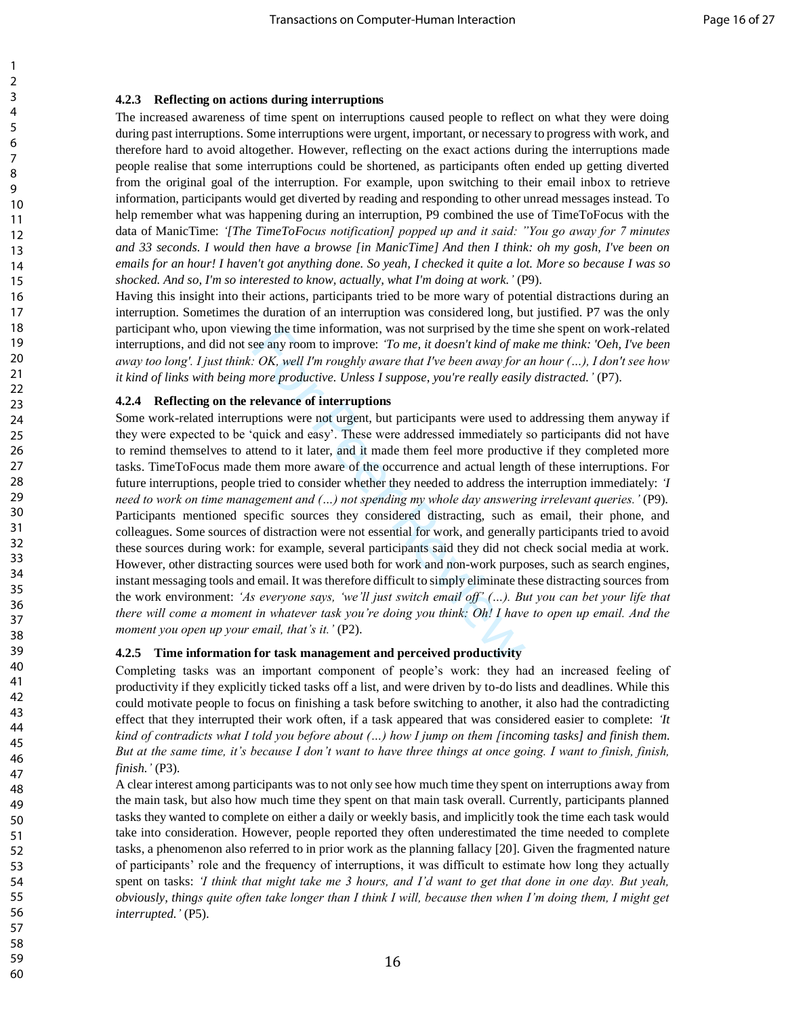### **4.2.3 Reflecting on actions during interruptions**

The increased awareness of time spent on interruptions caused people to reflect on what they were doing during past interruptions. Some interruptions were urgent, important, or necessary to progress with work, and therefore hard to avoid altogether. However, reflecting on the exact actions during the interruptions made people realise that some interruptions could be shortened, as participants often ended up getting diverted from the original goal of the interruption. For example, upon switching to their email inbox to retrieve information, participants would get diverted by reading and responding to other unread messages instead. To help remember what was happening during an interruption, P9 combined the use of TimeToFocus with the data of ManicTime: *'[The TimeToFocus notification] popped up and it said: "You go away for 7 minutes and 33 seconds. I would then have a browse [in ManicTime] And then I think: oh my gosh, I've been on emails for an hour! I haven't got anything done. So yeah, I checked it quite a lot. More so because I was so shocked. And so, I'm so interested to know, actually, what I'm doing at work.'* (P9).

Having this insight into their actions, participants tried to be more wary of potential distractions during an interruption. Sometimes the duration of an interruption was considered long, but justified. P7 was the only participant who, upon viewing the time information, was not surprised by the time she spent on work-related interruptions, and did not see any room to improve: *'To me, it doesn't kind of make me think: 'Oeh, I've been away too long'. I just think: OK, well I'm roughly aware that I've been away for an hour (…), I don't see how it kind of links with being more productive. Unless I suppose, you're really easily distracted.'* (P7).

### **4.2.4 Reflecting on the relevance of interruptions**

The time information, was not surprised by the tim<br>
ce any room to improve: *To me, it doesn't kind of ma*<br>
c*OK, well I'm roughly aware that I've been away for ance OK, well I'm roughly aware that I've been away for ance* Some work-related interruptions were not urgent, but participants were used to addressing them anyway if they were expected to be 'quick and easy'. These were addressed immediately so participants did not have to remind themselves to attend to it later, and it made them feel more productive if they completed more tasks. TimeToFocus made them more aware of the occurrence and actual length of these interruptions. For future interruptions, people tried to consider whether they needed to address the interruption immediately: *'I need to work on time management and (…) not spending my whole day answering irrelevant queries.'* (P9). Participants mentioned specific sources they considered distracting, such as email, their phone, and colleagues. Some sources of distraction were not essential for work, and generally participants tried to avoid these sources during work: for example, several participants said they did not check social media at work. However, other distracting sources were used both for work and non-work purposes, such as search engines, instant messaging tools and email. It was therefore difficult to simply eliminate these distracting sources from the work environment: *'As everyone says, 'we'll just switch email off' (…). But you can bet your life that there will come a moment in whatever task you're doing you think: Oh! I have to open up email. And the moment you open up your email, that's it.'* (P2).

### **4.2.5 Time information for task management and perceived productivity**

Completing tasks was an important component of people's work: they had an increased feeling of productivity if they explicitly ticked tasks off a list, and were driven by to-do lists and deadlines. While this could motivate people to focus on finishing a task before switching to another, it also had the contradicting effect that they interrupted their work often, if a task appeared that was considered easier to complete: *'It kind of contradicts what I told you before about (…) how I jump on them [incoming tasks] and finish them. But at the same time, it's because I don't want to have three things at once going. I want to finish, finish, finish.'* (P3).

A clear interest among participants was to not only see how much time they spent on interruptions away from the main task, but also how much time they spent on that main task overall. Currently, participants planned tasks they wanted to complete on either a daily or weekly basis, and implicitly took the time each task would take into consideration. However, people reported they often underestimated the time needed to complete tasks, a phenomenon also referred to in prior work as the planning fallacy [20]. Given the fragmented nature of participants' role and the frequency of interruptions, it was difficult to estimate how long they actually spent on tasks: *'I think that might take me 3 hours, and I'd want to get that done in one day. But yeah, obviously, things quite often take longer than I think I will, because then when I'm doing them, I might get interrupted.'* (P5).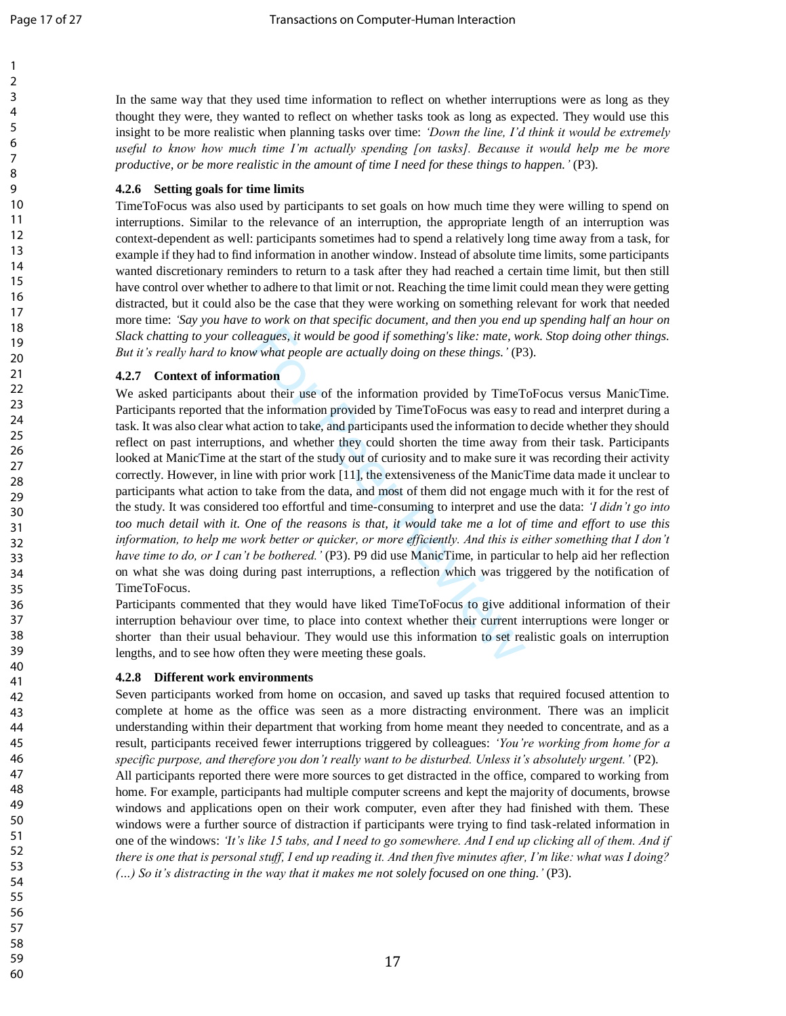1  $\overline{2}$ 

In the same way that they used time information to reflect on whether interruptions were as long as they thought they were, they wanted to reflect on whether tasks took as long as expected. They would use this insight to be more realistic when planning tasks over time: *'Down the line, I'd think it would be extremely useful to know how much time I'm actually spending [on tasks]. Because it would help me be more productive, or be more realistic in the amount of time I need for these things to happen.'* (P3) .

#### **4.2.6 Setting goals for time limits**

TimeToFocus was also used by participants to set goals on how much time they were willing to spend on interruptions. Similar to the relevance of an interruption, the appropriate length of an interruption was context -dependent as well: participants sometimes had to spend a relatively long time away from a task, for example if they had to find information in another window. Instead of absolute time limits, some participants wanted discretionary reminders to return to a task after they had reached a certain time limit, but then still have control over whether to adhere to that limit or not. Reaching the time limit could mean they were getting distracted, but it could also be the case that they were working on something relevant for work that needed more time: *'Say you have to work on that specific document, and then you end up spending half an hour on Slack chatting to your colleagues, it would be good if something's like: mate, work. Stop doing other things. But it's really hard to know what people are actually doing on these things. '* (P3) .

#### **4.2.7 Context of information**

eagues, it would be good if something's like: mate, we<br>w what people are actually doing on these things.' (P3<br>
ation<br>
out their use of the information provided by TimeT<br>
he information provided by TimeToFocus was easy to<br> We asked participants about their use of the information provided by TimeToFocus versus ManicTime. Participants reported that the information provided by TimeToFocus was easy to read and interpret during a task. It was also clear what action to take, and participants used the information to decide whether they should reflect on past interruptions, and whether they could shorten the time away from their task. Participants looked at ManicTime at the start of the study out of curiosity and to make sure it was recording their activity correctly. However, in line with prior work [11], the extensiveness of the ManicTime data made it unclear to participants what action to take from the data, and most of them did not engage much with it for the rest of the study. It was considered too effortful and time -consuming to interpret and use the data: *'I didn't go into too much detail with it. One of the reasons is that, it would take me a lot of time and effort to use this information, to help me work better or quicker, or more efficiently. And this is either something that I don't* have time to do, or I can't be bothered. '(P3). P9 did use ManicTime, in particular to help aid her reflection on what she was doing during past interruptions, a reflection which was triggered by the notification of TimeToFocus.

Participants commented that they would have liked TimeToFocus to give additional information of their interruption behaviour over time, to place into context whether their current interruptions were longer or shorter than their usual behaviour. They would use this information to set realistic goals on interruption lengths, and to see how often they were meeting these goals.

#### **4.2.8 Different work environments**

Seven participants worked from home on occasion, and saved up tasks that required focused attention to complete at home as the office was seen as a more distracting environment. There was an implicit understanding within their department that working from home meant they needed to concentrate, and as a result, participants received fewer interruptions triggered by colleagues: *'You're working from home for a specific purpose, and therefore you don't really want to be disturbed. Unless it's absolutely urgent. '* (P2) . All participants reported there were more sources to get distracted in the office, compared to working from home. For example, participants had multiple computer screens and kept the majority of documents, browse windows and applications open on their work computer, even after they had finished with them. These windows were a further source of distraction if participants were trying to find task -related information in one of the windows: *'It's like 15 tabs, and I need to go somewhere. And I end up clicking all of them. And if there is one that is personal stuff, I end up reading it. And then five minutes after, I'm like: what was I doing? (…) So it's distracting in the way that it makes me not solely focused on one thing. '* (P3) .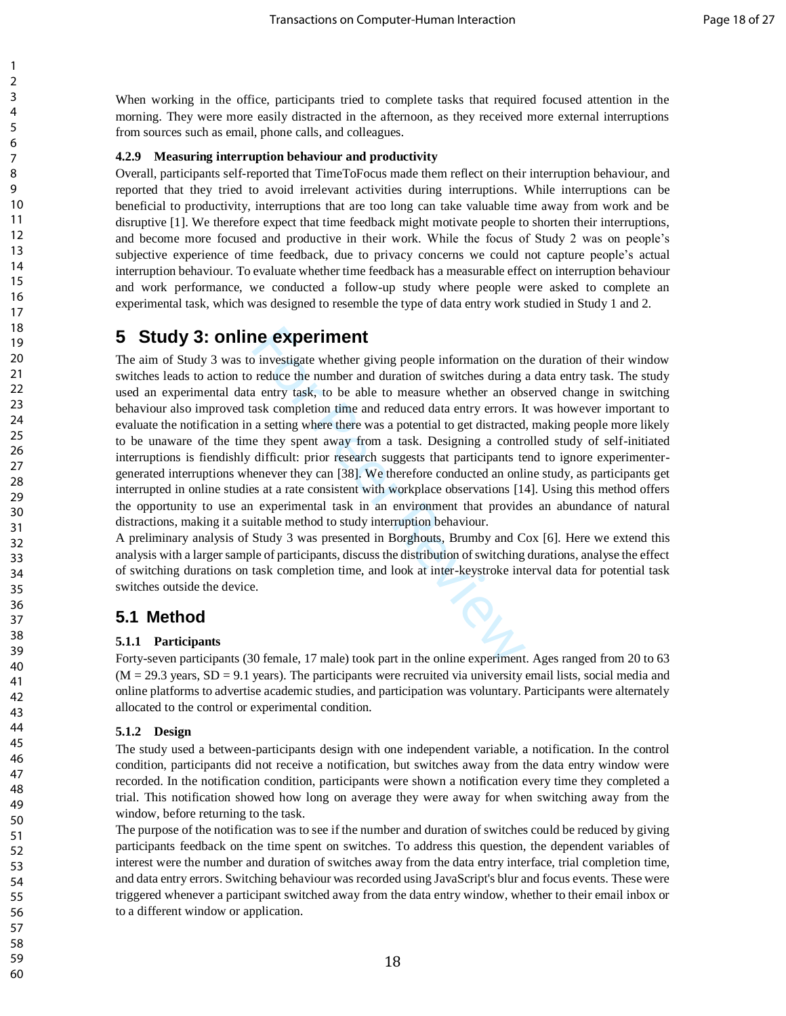When working in the office, participants tried to complete tasks that required focused attention in the morning. They were more easily distracted in the afternoon, as they received more external interruptions from sources such as email, phone calls, and colleagues.

### **4.2.9 Measuring interruption behaviour and productivity**

Overall, participants self-reported that TimeToFocus made them reflect on their interruption behaviour, and reported that they tried to avoid irrelevant activities during interruptions. While interruptions can be beneficial to productivity, interruptions that are too long can take valuable time away from work and be disruptive [1]. We therefore expect that time feedback might motivate people to shorten their interruptions, and become more focused and productive in their work. While the focus of Study 2 was on people's subjective experience of time feedback, due to privacy concerns we could not capture people's actual interruption behaviour. To evaluate whether time feedback has a measurable effect on interruption behaviour and work performance, we conducted a follow-up study where people were asked to complete an experimental task, which was designed to resemble the type of data entry work studied in Study 1 and 2.

# **5 Study 3: online experiment**

**NE EXPETIMENT**<br>
Dinvestigate whether giving people information on the reduce the number and duration of switches during a entry task, to be able to measure whether an obsex completion time and reduced data entry errors. I The aim of Study 3 was to investigate whether giving people information on the duration of their window switches leads to action to reduce the number and duration of switches during a data entry task. The study used an experimental data entry task, to be able to measure whether an observed change in switching behaviour also improved task completion time and reduced data entry errors. It was however important to evaluate the notification in a setting where there was a potential to get distracted, making people more likely to be unaware of the time they spent away from a task. Designing a controlled study of self-initiated interruptions is fiendishly difficult: prior research suggests that participants tend to ignore experimentergenerated interruptions whenever they can [38]. We therefore conducted an online study, as participants get interrupted in online studies at a rate consistent with workplace observations [14]. Using this method offers the opportunity to use an experimental task in an environment that provides an abundance of natural distractions, making it a suitable method to study interruption behaviour.

A preliminary analysis of Study 3 was presented in Borghouts, Brumby and Cox [6]. Here we extend this analysis with a larger sample of participants, discuss the distribution of switching durations, analyse the effect of switching durations on task completion time, and look at inter-keystroke interval data for potential task switches outside the device.

## **5.1 Method**

### **5.1.1 Participants**

Forty-seven participants (30 female, 17 male) took part in the online experiment. Ages ranged from 20 to 63  $(M = 29.3 \text{ years}, SD = 9.1 \text{ years})$ . The participants were recruited via university email lists, social media and online platforms to advertise academic studies, and participation was voluntary. Participants were alternately allocated to the control or experimental condition.

#### **5.1.2 Design**

The study used a between-participants design with one independent variable, a notification. In the control condition, participants did not receive a notification, but switches away from the data entry window were recorded. In the notification condition, participants were shown a notification every time they completed a trial. This notification showed how long on average they were away for when switching away from the window, before returning to the task.

The purpose of the notification was to see if the number and duration of switches could be reduced by giving participants feedback on the time spent on switches. To address this question, the dependent variables of interest were the number and duration of switches away from the data entry interface, trial completion time, and data entry errors. Switching behaviour was recorded using JavaScript's blur and focus events. These were triggered whenever a participant switched away from the data entry window, whether to their email inbox or to a different window or application.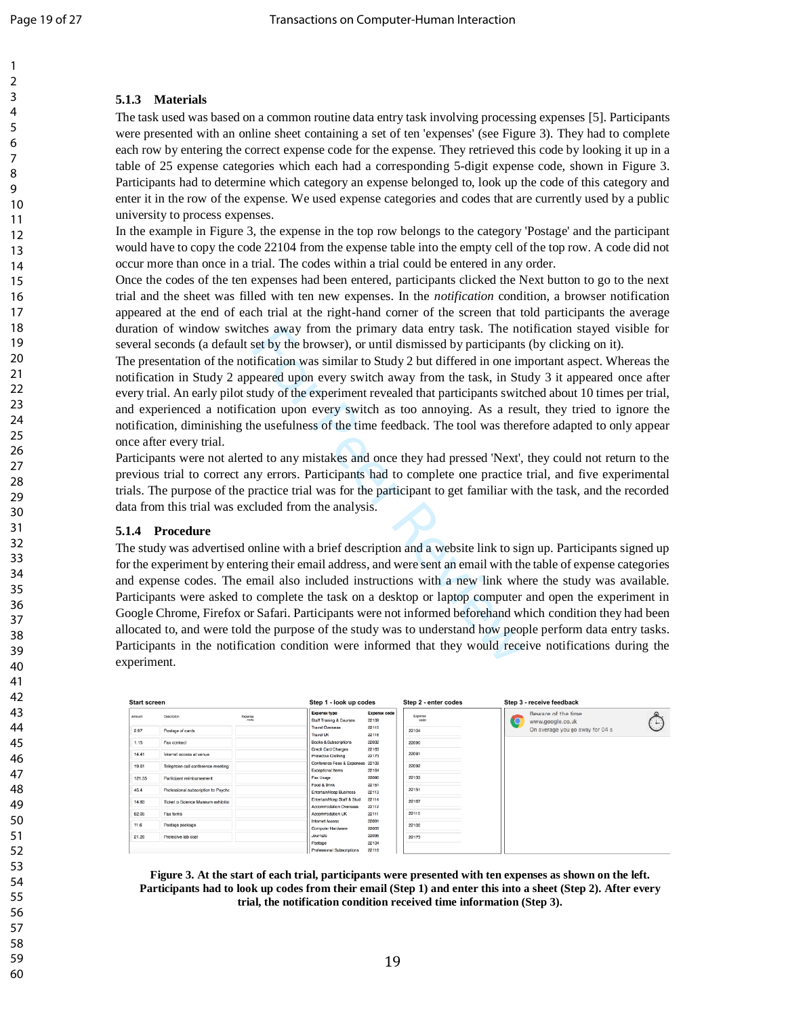## **5.1.3 Materials**

The task used was based on a common routine data entry task involving processing expenses [5]. Participants were presented with an online sheet containing a set of ten 'expenses' (see Figure 3). They had to complete each row by entering the correct expense code for the expense. They retrieved this code by looking it up in a table of 25 expense categories which each had a corresponding 5 -digit expense code, shown in Figure 3. Participants had to determine which category an expense belonged to, look up the code of this category and enter it in the row of the expense. We used expense categories and codes that are currently used by a public university to process expenses.

In the example in Figure 3, the expense in the top row belongs to the category 'Postage' and the participant would have to copy the code 22104 from the expense table into the empty cell of the top row. A code did not occur more than once in a trial. The codes within a trial could be entered in any order.

Once the codes of the ten expenses had been entered, participants clicked the Next button to go to the next trial and the sheet was filled with ten new expenses. In the *notification* condition, a browser notification appeared at the end of each trial at the right -hand corner of the screen that told participants the average duration of window switches away from the primary data entry task. The notification stayed visible for several seconds (a default set by the browser), or until dismissed by participants (by clicking on it).

The presentation of the notification was similar to Study 2 but differed in one important aspect. Whereas the notification in Study 2 appeared upon every switch away from the task, in Study 3 it appeared once after every trial. An early pilot study of the experiment revealed that participants switched about 10 times per trial, and experienced a notification upon every switch as too annoying. As a result, they tried to ignore the notification, diminishing the usefulness of the time feedback. The tool was therefore adapted to only appear once after every trial.

Participants were not alerted to any mistakes and once they had pressed 'Next', they could not return to the previous trial to correct any errors. Participants had to complete one practice trial, and five experimental trials. The purpose of the practice trial was for the participant to get familiar with the task, and the recorded data from this trial was excluded from the analysis.

### **5.1.4 Procedure**

hes away from the primary data entry task. The noset by the browser), or until dismissed by participants ification was similar to Study 2 but differed in one im beared upon every switch away from the task, in Study of the The study was advertised online with a brief description and a website link to sign up. Participants signed up for the experiment by entering their email address, and were sent an email with the table of expense categories and expense codes. The email also included instructions with a new link where the study was available. Participants were asked to complete the task on a desktop or laptop computer and open the experiment in Google Chrome, Firefox or Safari. Participants were not informed beforehand which condition they had been allocated to, and were told the purpose of the study was to understand how people perform data entry tasks. Participants in the notification condition were informed that they would receive notifications during the experiment.

| <b>Start screen</b> |                                                                  |                 | Step 1 - look up codes<br>Step 2 - enter codes          |                       | Step 3 - receive feedback |                                              |  |  |
|---------------------|------------------------------------------------------------------|-----------------|---------------------------------------------------------|-----------------------|---------------------------|----------------------------------------------|--|--|
| Amount              | Description                                                      | Expense<br>code | <b>Expense type</b><br>Staff Training & Courses         | Expense code<br>22108 | Expense<br>code           | Beware of the time<br>www.google.co.uk<br>τą |  |  |
| 2.97                | Postage of cards                                                 |                 | <b>Travel Overseas</b><br>Travel UK                     | 22110<br>22116        | 22104                     | On average you go away for 04 s              |  |  |
| 1.15                | Fax contract                                                     |                 | <b>Books &amp; Subscriptions</b><br>Credit Card Charges | 22032<br>22163        | 22090                     |                                              |  |  |
| 14.41               | Internet access at venue                                         |                 | Protective Clothing<br>Conference Fees & Expenses 22109 | 22173                 | 22091                     |                                              |  |  |
| 19.61               | Telephone call conference meeting                                |                 | Exceptional Items                                       | 22164                 | 22092                     |                                              |  |  |
| 121.55<br>45.4      | Participant reimbursement<br>Professional subscription to Psychc |                 | Fax Usage<br>Food & Drink                               | 22090<br>22151        | 22133<br>22151            |                                              |  |  |
| 14.83               | Ticket to Science Museum exhibitio                               |                 | Entertain/Hosp Business<br>Entertain/Hosp Staff & Stud  | 22113<br>22114        | 22167                     |                                              |  |  |
| 82.05               | Fax forms                                                        |                 | Accommodation Overseas<br>Accommodation UK              | 22112<br>22111        | 22110                     |                                              |  |  |
| 11.6                | Postage package                                                  |                 | Internet Access<br>Computer Hardware                    | 22091<br>22005        | 22100                     |                                              |  |  |
| 21.26               | Protective lab coat                                              |                 | Journals<br>Postage                                     | 22035<br>22104        | 22173                     |                                              |  |  |
|                     |                                                                  |                 | Professional Subscriptions                              | <b>22118</b>          |                           |                                              |  |  |

**Figure 3. At the start of each trial, participants were presented with ten expenses as shown on the left. Participants had to look up codes from their email (Step 1) and enter this into a sheet (Step 2). After every trial, the notification condition received time information (Step 3).**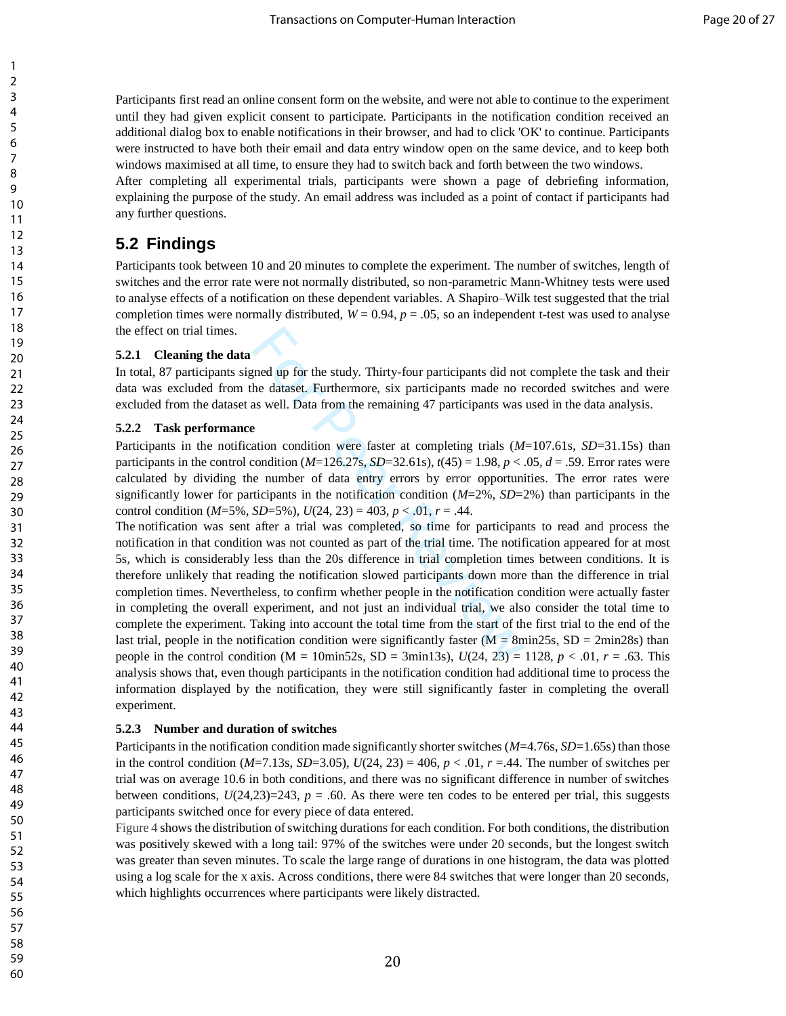Participants first read an online consent form on the website, and were not able to continue to the experiment until they had given explicit consent to participate. Participants in the notification condition received an additional dialog box to enable notifications in their browser, and had to click 'OK' to continue. Participants were instructed to have both their email and data entry window open on the same device, and to keep both windows maximised at all time, to ensure they had to switch back and forth between the two windows.

After completing all experimental trials, participants were shown a page of debriefing information, explaining the purpose of the study. An email address was included as a point of contact if participants had any further questions.

# **5.2 Findings**

Participants took between 10 and 20 minutes to complete the experiment. The number of switches, length of switches and the error rate were not normally distributed, so non-parametric Mann-Whitney tests were used to analyse effects of a notification on these dependent variables. A Shapiro–Wilk test suggested that the trial completion times were normally distributed,  $W = 0.94$ ,  $p = .05$ , so an independent t-test was used to analyse the effect on trial times.

### **5.2.1 Cleaning the data**

In total, 87 participants signed up for the study. Thirty-four participants did not complete the task and their data was excluded from the dataset. Furthermore, six participants made no recorded switches and were excluded from the dataset as well. Data from the remaining 47 participants was used in the data analysis.

### **5.2.2 Task performance**

Participants in the notification condition were faster at completing trials (*M*=107.61s, *SD*=31.15s) than participants in the control condition  $(M=126.27s, SD=32.61s)$ ,  $t(45) = 1.98$ ,  $p < .05$ ,  $d = .59$ . Error rates were calculated by dividing the number of data entry errors by error opportunities. The error rates were significantly lower for participants in the notification condition (*M*=2%, *SD*=2%) than participants in the control condition ( $M=5\%$ ,  $SD=5\%$ ),  $U(24, 23) = 403$ ,  $p < .01$ ,  $r = .44$ .

ginal up for the study. Thirty-four participants did not<br>he dataset. Furthermore, six participants made no r<br>as well. Data from the remaining 47 participants was<br>e<br>ation condition were faster at completing trials (*M*:<br>co The notification was sent after a trial was completed, so time for participants to read and process the notification in that condition was not counted as part of the trial time. The notification appeared for at most 5s, which is considerably less than the 20s difference in trial completion times between conditions. It is therefore unlikely that reading the notification slowed participants down more than the difference in trial completion times. Nevertheless, to confirm whether people in the notification condition were actually faster in completing the overall experiment, and not just an individual trial, we also consider the total time to complete the experiment. Taking into account the total time from the start of the first trial to the end of the last trial, people in the notification condition were significantly faster  $(M = 8min25s, SD = 2min28s)$  than people in the control condition ( $M = 10$ min52s,  $SD = 3$ min13s),  $U(24, 23) = 1128$ ,  $p < .01$ ,  $r = .63$ . This analysis shows that, even though participants in the notification condition had additional time to process the information displayed by the notification, they were still significantly faster in completing the overall experiment.

### **5.2.3 Number and duration of switches**

Participants in the notification condition made significantly shorter switches (*M*=4.76s, *SD*=1.65s) than those in the control condition ( $M=7.13$ s,  $SD=3.05$ ),  $U(24, 23) = 406$ ,  $p < .01$ ,  $r = .44$ . The number of switches per trial was on average 10.6 in both conditions, and there was no significant difference in number of switches between conditions,  $U(24,23)=243$ ,  $p = .60$ . As there were ten codes to be entered per trial, this suggests participants switched once for every piece of data entered.

[Figure 4](#page-21-0) shows the distribution of switching durations for each condition. For both conditions, the distribution was positively skewed with a long tail: 97% of the switches were under 20 seconds, but the longest switch was greater than seven minutes. To scale the large range of durations in one histogram, the data was plotted using a log scale for the x axis. Across conditions, there were 84 switches that were longer than 20 seconds, which highlights occurrences where participants were likely distracted.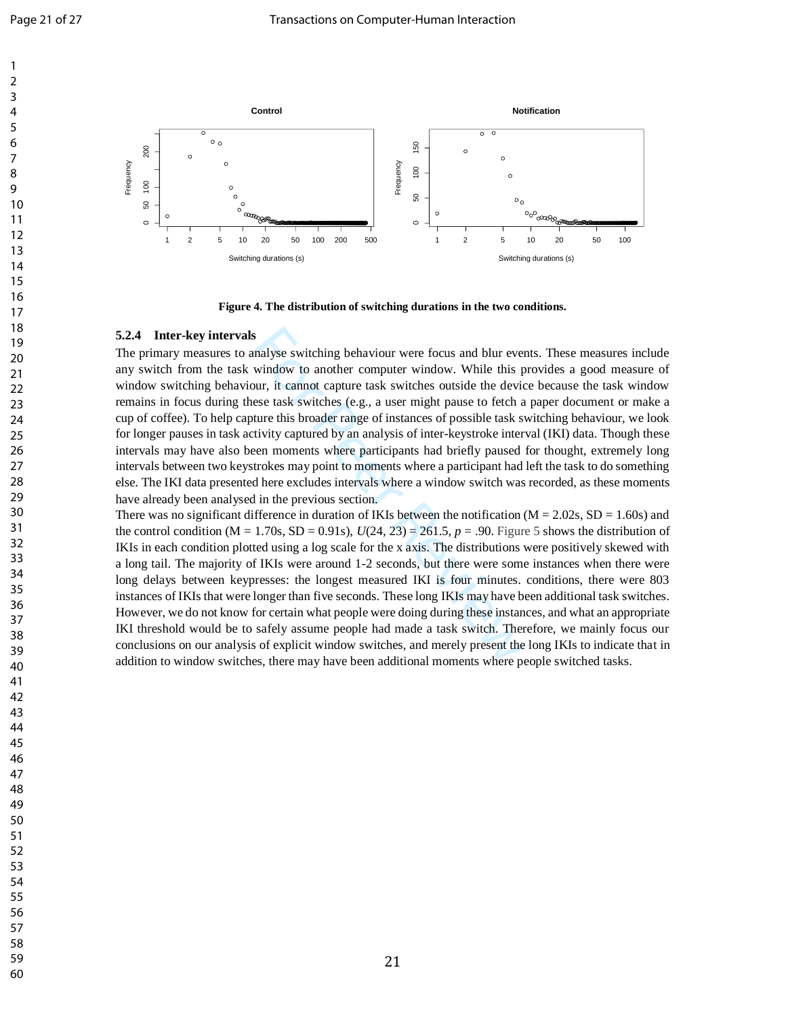

**Figure 4. The distribution of switching durations in the two conditions.**

#### **5.2.4 Inter -key intervals**

<span id="page-21-0"></span>For Peer Review The primary measures to analyse switching behaviour were focus and blur events. These measures include any switch from the task window to another computer window. While this provides a good measure of window switching behaviour, it cannot capture task switches outside the device because the task window remains in focus during these task switches (e.g., a user might pause to fetch a paper document or make a cup of coffee). To help capture this broader range of instances of possible task switching behaviour, we look for longer pauses in task activity captured by an analysis of inter -keystroke interval (IKI) data. Though these intervals may have also been moments where participants had briefly paused for thought, extremely long intervals between two keystrokes may point to moments where a participant had left the task to do something else. The IKI data presented here excludes intervals where a window switch was recorded, as these moments have already been analysed in the previous section.

There was no significant difference in duration of IKIs between the notification ( $M = 2.02$ s,  $SD = 1.60$ s) and the control condition  $(M = 1.70s, SD = 0.91s)$ ,  $U(24, 23) = 261.5$ ,  $p = .90$ . Figure 5 shows the distribution of IKIs in each condition plotted using a log scale for the x axis. The distributions were positively skewed with a long tail. The majority of IKIs were around 1 -2 seconds, but there were some instances when there were long delays between keypresses: the longest measured IKI is four minutes. conditions, there were 803 instances of IKIs that were longer than five seconds. These long IKIs may have been additional task switches. However, we do not know for certain what people were doing during these instances, and what an appropriate IKI threshold would be to safely assume people had made a task switch. Therefore, we mainly focus our conclusions on our analysis of explicit window switches, and merely present the long IKIs to indicate that in addition to window switches, there may have been additional moments where people switched tasks.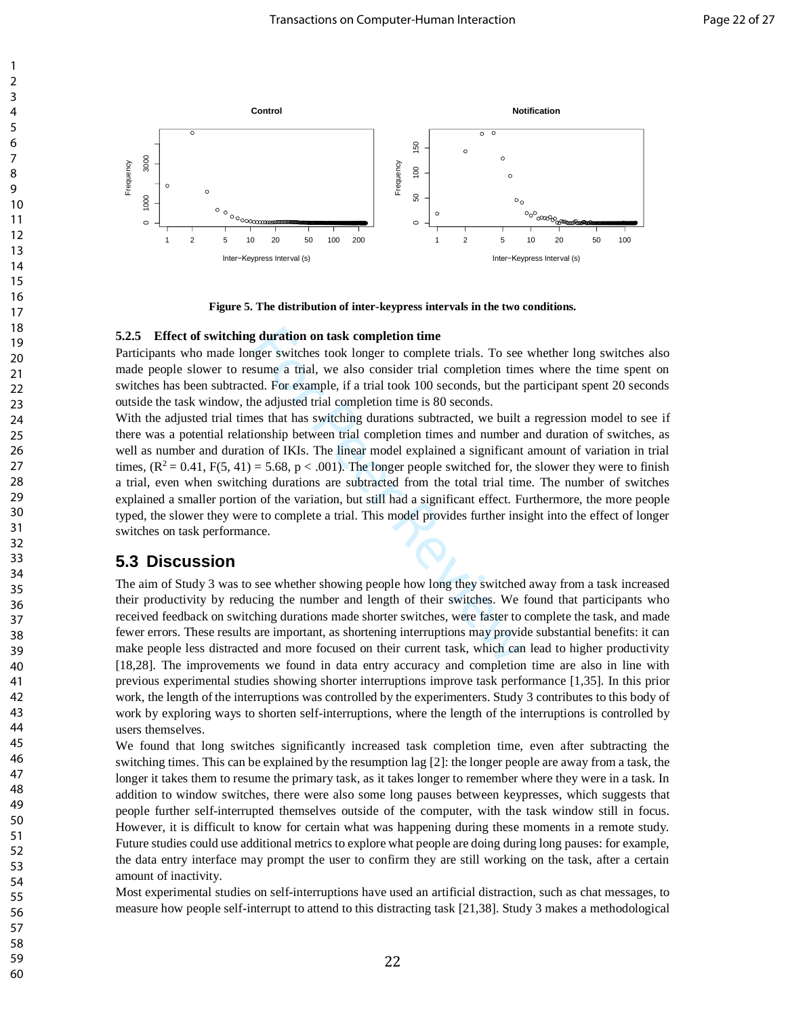

**Figure 5. The distribution of inter-keypress intervals in the two conditions.**

### **5.2.5 Effect of switching duration on task completion time**

Participants who made longer switches took longer to complete trials. To see whether long switches also made people slower to resume a trial, we also consider trial completion times where the time spent on switches has been subtracted. For example, if a trial took 100 seconds, but the participant spent 20 seconds outside the task window, the adjusted trial completion time is 80 seconds.

<span id="page-22-0"></span>g duration on task completion time<br>ger switches took longer to complete trials. To see<br>sume a trial, we also consider trial completion time<br>ed. For example, if a trial took 100 seconds, but the p<br>ne adjusted trial complet With the adjusted trial times that has switching durations subtracted, we built a regression model to see if there was a potential relationship between trial completion times and number and duration of switches, as well as number and duration of IKIs. The linear model explained a significant amount of variation in trial times,  $(R^2 = 0.41, F(5, 41) = 5.68, p < .001)$ . The longer people switched for, the slower they were to finish a trial, even when switching durations are subtracted from the total trial time. The number of switches explained a smaller portion of the variation, but still had a significant effect. Furthermore, the more people typed, the slower they were to complete a trial. This model provides further insight into the effect of longer switches on task performance.

## **5.3 Discussion**

The aim of Study 3 was to see whether showing people how long they switched away from a task increased their productivity by reducing the number and length of their switches. We found that participants who received feedback on switching durations made shorter switches, were faster to complete the task, and made fewer errors. These results are important, as shortening interruptions may provide substantial benefits: it can make people less distracted and more focused on their current task, which can lead to higher productivity [18,28]. The improvements we found in data entry accuracy and completion time are also in line with previous experimental studies showing shorter interruptions improve task performance [1,35]. In this prior work, the length of the interruptions was controlled by the experimenters. Study 3 contributes to this body of work by exploring ways to shorten self-interruptions, where the length of the interruptions is controlled by users themselves.

We found that long switches significantly increased task completion time, even after subtracting the switching times. This can be explained by the resumption lag [2]: the longer people are away from a task, the longer it takes them to resume the primary task, as it takes longer to remember where they were in a task. In addition to window switches, there were also some long pauses between keypresses, which suggests that people further self-interrupted themselves outside of the computer, with the task window still in focus. However, it is difficult to know for certain what was happening during these moments in a remote study. Future studies could use additional metrics to explore what people are doing during long pauses: for example, the data entry interface may prompt the user to confirm they are still working on the task, after a certain amount of inactivity.

Most experimental studies on self-interruptions have used an artificial distraction, such as chat messages, to measure how people self-interrupt to attend to this distracting task [21,38]. Study 3 makes a methodological

58 59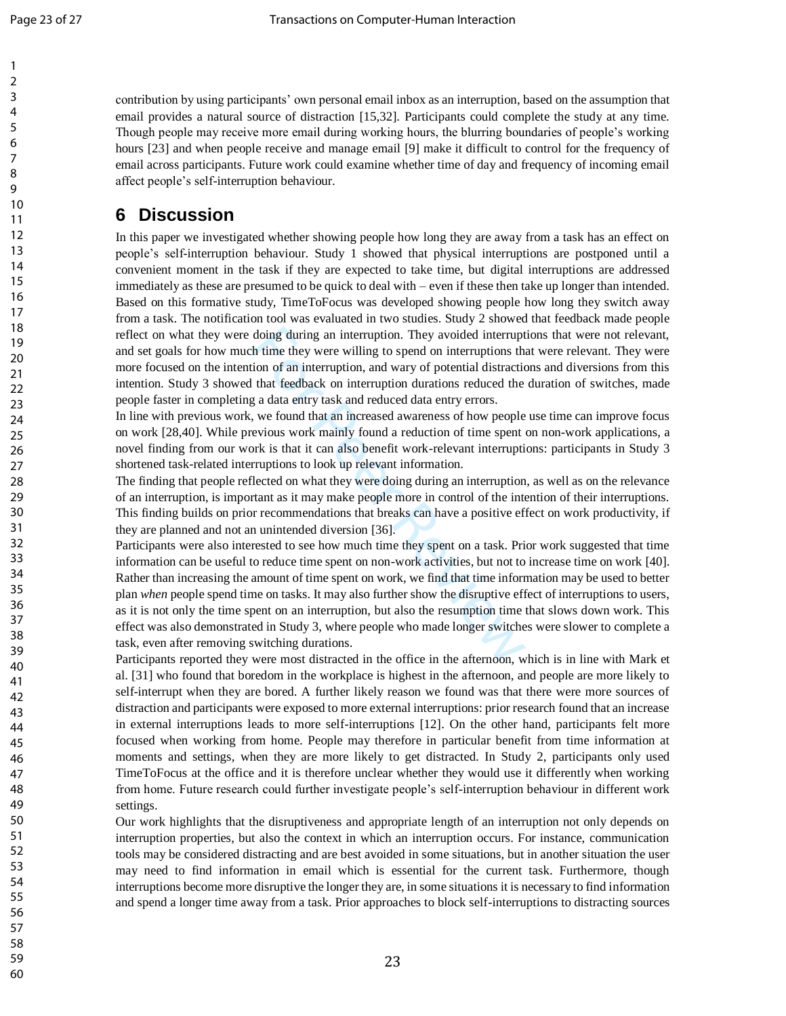contribution by using participants' own personal email inbox as an interruption, based on the assumption that email provides a natural source of distraction [15,32]. Participants could complete the study at any time. Though people may receive more email during working hours, the blurring boundaries of people's working hours [23] and when people receive and manage email [9] make it difficult to control for the frequency of email across participants. Future work could examine whether time of day and frequency of incoming email affect people's self-interruption behaviour.

# **6 Discussion**

In this paper we investigated whether showing people how long they are away from a task has an effect on people's self-interruption behaviour. Study 1 showed that physical interruptions are postponed until a convenient moment in the task if they are expected to take time, but digital interruptions are addressed immediately as these are presumed to be quick to deal with – even if these then take up longer than intended. Based on this formative study, TimeToFocus was developed showing people how long they switch away from a task. The notification tool was evaluated in two studies. Study 2 showed that feedback made people reflect on what they were doing during an interruption. They avoided interruptions that were not relevant, and set goals for how much time they were willing to spend on interruptions that were relevant. They were more focused on the intention of an interruption, and wary of potential distractions and diversions from this intention. Study 3 showed that feedback on interruption durations reduced the duration of switches, made people faster in completing a data entry task and reduced data entry errors.

In line with previous work, we found that an increased awareness of how people use time can improve focus on work [28,40]. While previous work mainly found a reduction of time spent on non -work applications, a novel finding from our work is that it can also benefit work -relevant interruptions: participants in Study 3 shortened task -related interruptions to look up relevant information.

The finding that people reflected on what they were doing during an interruption, as well as on the relevance of an interruption, is important as it may make people more in control of the intention of their interruptions. This finding builds on prior recommendations that breaks can have a positive effect on work productivity, if they are planned and not an unintended diversion [36] .

doing during an interruption. They avoided interrupt<br>h time they were willing to spend on interruptions that<br>ion of an interruption, and wary of potential distractic<br>that feedback on interruption durations reduced the<br>g a Participants were also interested to see how much time they spent on a task. Prior work suggested that time information can be useful to reduce time spent on non -work activities, but not to increase time on work [40]. Rather than increasing the amount of time spent on work, we find that time information may be used to better plan *when* people spend time on tasks. It may also further show the disruptive effect of interruptions to users, as it is not only the time spent on an interruption, but also the resumption time that slows down work. This effect was also demonstrated in Study 3, where people who made longer switches were slower to complete a task, even after removing switching durations.

Participants reported they were most distracted in the office in the afternoon, which is in line with Mark et al. [31] who found that boredom in the workplace is highest in the afternoon, and people are more likely to self-interrupt when they are bored. A further likely reason we found was that there were more sources of distraction and participants were exposed to more external interruptions: prior research found that an increase in external interruptions leads to more self -interruptions [12]. On the other hand, participants felt more focused when working from home. People may therefore in particular benefit from time information at moments and settings, when they are more likely to get distracted. In Study 2, participants only used TimeToFocus at the office and it is therefore unclear whether they would use it differently when working from home. Future research could further investigate people's self-interruption behaviour in different work settings.

Our work highlights that the disruptiveness and appropriate length of an interruption not only depends on interruption properties, but also the context in which an interruption occurs. For instance, communication tools may be considered distracting and are best avoided in some situations, but in another situation the user may need to find information in email which is essential for the current task. Furthermore, though interruptions become more disruptive the longer they are, in some situations it is necessary to find information and spend a longer time away from a task. Prior approaches to block self -interruptions to distracting sources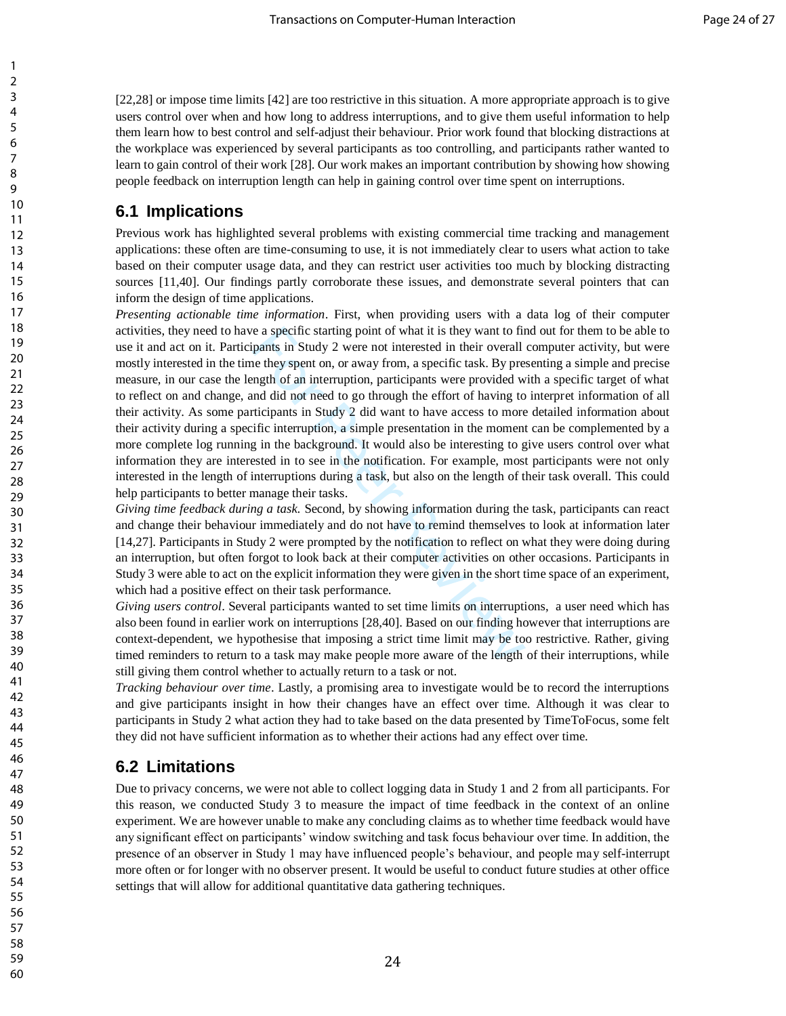[22,28] or impose time limits [42] are too restrictive in this situation. A more appropriate approach is to give users control over when and how long to address interruptions, and to give them useful information to help them learn how to best control and self-adjust their behaviour. Prior work found that blocking distractions at the workplace was experienced by several participants as too controlling, and participants rather wanted to learn to gain control of their work [28]. Our work makes an important contribution by showing how showing people feedback on interruption length can help in gaining control over time spent on interruptions.

## **6.1 Implications**

Previous work has highlighted several problems with existing commercial time tracking and management applications: these often are time-consuming to use, it is not immediately clear to users what action to take based on their computer usage data, and they can restrict user activities too much by blocking distracting sources [11,40]. Our findings partly corroborate these issues, and demonstrate several pointers that can inform the design of time applications.

e a specific starting point of what it is they want to fir<br>pants in Study 2 were not interested in their overall<br>he they spent on, or away from, a specific task. By pre-<br>mgth of an interruption, participants were provided *Presenting actionable time information*. First, when providing users with a data log of their computer activities, they need to have a specific starting point of what it is they want to find out for them to be able to use it and act on it. Participants in Study 2 were not interested in their overall computer activity, but were mostly interested in the time they spent on, or away from, a specific task. By presenting a simple and precise measure, in our case the length of an interruption, participants were provided with a specific target of what to reflect on and change, and did not need to go through the effort of having to interpret information of all their activity. As some participants in Study 2 did want to have access to more detailed information about their activity during a specific interruption, a simple presentation in the moment can be complemented by a more complete log running in the background. It would also be interesting to give users control over what information they are interested in to see in the notification. For example, most participants were not only interested in the length of interruptions during a task, but also on the length of their task overall. This could help participants to better manage their tasks.

*Giving time feedback during a task.* Second, by showing information during the task, participants can react and change their behaviour immediately and do not have to remind themselves to look at information later [14,27]. Participants in Study 2 were prompted by the notification to reflect on what they were doing during an interruption, but often forgot to look back at their computer activities on other occasions. Participants in Study 3 were able to act on the explicit information they were given in the short time space of an experiment, which had a positive effect on their task performance.

*Giving users control*. Several participants wanted to set time limits on interruptions, a user need which has also been found in earlier work on interruptions [28,40]. Based on our finding however that interruptions are context-dependent, we hypothesise that imposing a strict time limit may be too restrictive. Rather, giving timed reminders to return to a task may make people more aware of the length of their interruptions, while still giving them control whether to actually return to a task or not.

*Tracking behaviour over time*. Lastly, a promising area to investigate would be to record the interruptions and give participants insight in how their changes have an effect over time. Although it was clear to participants in Study 2 what action they had to take based on the data presented by TimeToFocus, some felt they did not have sufficient information as to whether their actions had any effect over time.

## **6.2 Limitations**

Due to privacy concerns, we were not able to collect logging data in Study 1 and 2 from all participants. For this reason, we conducted Study 3 to measure the impact of time feedback in the context of an online experiment. We are however unable to make any concluding claims as to whether time feedback would have any significant effect on participants' window switching and task focus behaviour over time. In addition, the presence of an observer in Study 1 may have influenced people's behaviour, and people may self-interrupt more often or for longer with no observer present. It would be useful to conduct future studies at other office settings that will allow for additional quantitative data gathering techniques.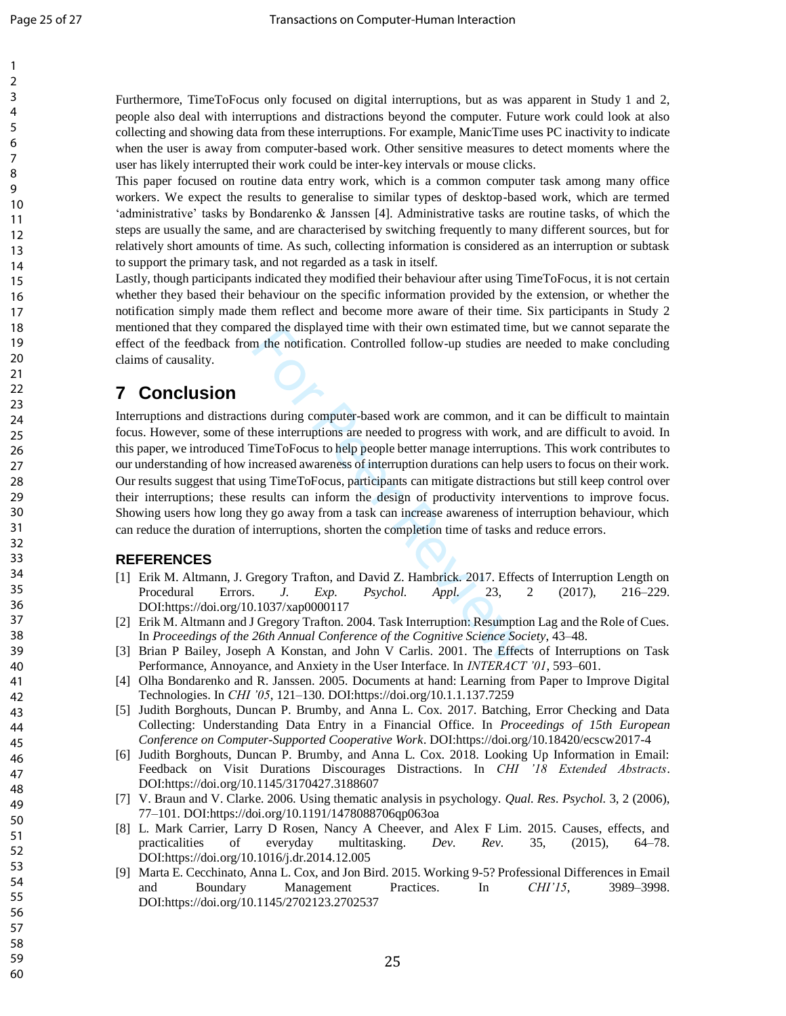Furthermore, TimeToFocus only focused on digital interruptions, but as was apparent in Study 1 and 2, people also deal with interruptions and distractions beyond the computer. Future work could look at also collecting and showing data from these interruptions. For example, ManicTime uses PC inactivity to indicate when the user is away from computer -based work. Other sensitive measures to detect moments where the user has likely interrupted their work could be inter -key intervals or mouse clicks.

This paper focused on routine data entry work, which is a common computer task among many office workers. We expect the results to generalise to similar types of desktop -based work, which are termed 'administrative' tasks by Bondarenko & Janssen [4]. Administrative tasks are routine tasks, of which the steps are usually the same, and are characterised by switching frequently to many different sources, but for relatively short amounts of time. As such, collecting information is considered as an interruption or subtask to support the primary task, and not regarded as a task in itself.

Lastly, though participants indicated they modified their behaviour after using TimeToFocus, it is not certain whether they based their behaviour on the specific information provided by the extension, or whether the notification simply made them reflect and become more aware of their time. Six participants in Study 2 mentioned that they compared the displayed time with their own estimated time, but we cannot separate the effect of the feedback from the notification. Controlled follow -up studies are needed to make concluding claims of causality.

# **7 Conclusion**

The mean of the Controlled follow-up studies are<br>area the notification. Controlled follow-up studies are<br>area interruptions are needed to progress with work, a<br>fimeToFocus to help people better manage interruptio<br>ncreased Interruptions and distractions during computer -based work are common, and it can be difficult to maintain focus. However, some of these interruptions are needed to progress with work, and are difficult to avoid. In this paper, we introduce d TimeToFocus to help people better manage interruptions. This work contributes to our understanding of how increased awareness of interruption durations can help users to focus on their work. Our results suggest that using TimeToFocus, participants can mitigate distractions but still keep control over their interruptions; these results can inform the design of productivity interventions to improve focus. Showing users how long they go away from a task can increase awareness of interruption behaviour, which can reduce the duration of interruptions, shorten the completion time of tasks and reduce errors.

## **REFERENCES**

- [1] Erik M. Altmann, J. Gregory Trafton, and David Z. Hambrick. 2017. Effects of Interruption Length on Procedural Errors. *J. Exp. Psychol. Appl.* 23, 2 (2017), –229. DOI:https://doi.org/10.1037/xap0000117
- [2] Erik M. Altmann and J Gregory Trafton. 2004. Task Interruption: Resumption Lag and the Role of Cues. In *Proceedings of the 26th Annual Conference of the Cognitive Science Society*, 43 –48.
- [3] Brian P Bailey, Joseph A Konstan, and John V Carlis. 2001. The Effects of Interruptions on Task Performance, Annoyance, and Anxiety in the User Interface. In *INTERACT '01*, 593 –601.
- [4] Olha Bondarenko and R. Janssen. 2005. Documents at hand: Learning from Paper to Improve Digital Technologies. In *CHI '05*, 121 –130. DOI:https://doi.org/10.1.1.137.7259
- [5] Judith Borghouts, Duncan P. Brumby, and Anna L. Cox. 2017. Batching, Error Checking and Data Collecting: Understanding Data Entry in a Financial Office. In *Proceedings of 15th European Conference on Computer -Supported Cooperative Work*. DOI:https://doi.org/10.18420/ecscw2017 - 4
- [6] Judith Borghouts, Duncan P. Brumby, and Anna L. Cox. 2018. Looking Up Information in Email: Feedback on Visit Durations Discourages Distractions. In *CHI '18 Extended Abstracts*. DOI:https://doi.org/10.1145/3170427.3188607
- [7] V. Braun and V. Clarke. 2006. Using thematic analysis in psychology. *Qual. Res. Psychol.* 3, 2 (2006), 77 –101. DOI:https://doi.org/10.1191/1478088706qp063oa
- [8] L . Mark Carrier, Larry D Rosen, Nancy A Cheever, and Alex F Lim. 2015. Causes, effects, and practicalities of everyday multitasking. *Dev. Rev.* 35, (2015),  $64 - 78.$ DOI:https://doi.org/10.1016/j.dr.2014.12.005
- [9] Marta E. Cecchinato, Anna L. Cox, and Jon Bird. 2015. Working 9 -5? Professional Differences in Email and Boundary Management Practices. In *CHI'15*, 3989-3998. DOI:https://doi.org/10.1145/2702123.2702537

25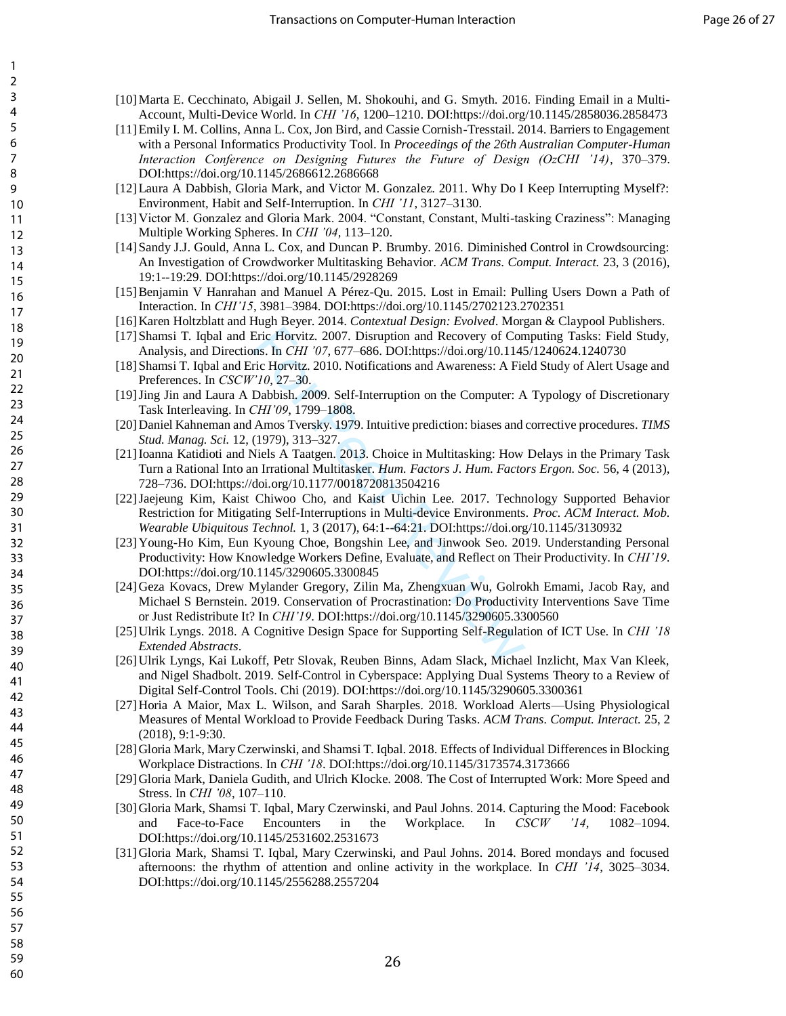- [10]Marta E. Cecchinato, Abigail J. Sellen, M. Shokouhi, and G. Smyth. 2016. Finding Email in a Multi-Account, Multi-Device World. In *CHI '16*, 1200–1210. DOI:https://doi.org/10.1145/2858036.2858473
- [11]Emily I. M. Collins, Anna L. Cox, Jon Bird, and Cassie Cornish-Tresstail. 2014. Barriers to Engagement with a Personal Informatics Productivity Tool. In *Proceedings of the 26th Australian Computer-Human Interaction Conference on Designing Futures the Future of Design (OzCHI '14)*, 370–379. DOI:https://doi.org/10.1145/2686612.2686668
- [12]Laura A Dabbish, Gloria Mark, and Victor M. Gonzalez. 2011. Why Do I Keep Interrupting Myself?: Environment, Habit and Self-Interruption. In *CHI '11*, 3127–3130.
- [13] Victor M. Gonzalez and Gloria Mark. 2004. "Constant, Constant, Multi-tasking Craziness": Managing Multiple Working Spheres. In *CHI '04*, 113–120.
- [14]Sandy J.J. Gould, Anna L. Cox, and Duncan P. Brumby. 2016. Diminished Control in Crowdsourcing: An Investigation of Crowdworker Multitasking Behavior. *ACM Trans. Comput. Interact.* 23, 3 (2016), 19:1--19:29. DOI:https://doi.org/10.1145/2928269
- [15]Benjamin V Hanrahan and Manuel A Pérez-Qu. 2015. Lost in Email: Pulling Users Down a Path of Interaction. In *CHI'15*, 3981–3984. DOI:https://doi.org/10.1145/2702123.2702351
- [16] Karen Holtzblatt and Hugh Beyer. 2014. *Contextual Design: Evolved*. Morgan & Claypool Publishers.
- [17]Shamsi T. Iqbal and Eric Horvitz. 2007. Disruption and Recovery of Computing Tasks: Field Study, Analysis, and Directions. In *CHI '07*, 677–686. DOI:https://doi.org/10.1145/1240624.1240730
- [18]Shamsi T. Iqbal and Eric Horvitz. 2010. Notifications and Awareness: A Field Study of Alert Usage and Preferences. In *CSCW'10*, 27–30.
- [19]Jing Jin and Laura A Dabbish. 2009. Self-Interruption on the Computer: A Typology of Discretionary Task Interleaving. In *CHI'09*, 1799–1808.
- [20] Daniel Kahneman and Amos Tversky. 1979. Intuitive prediction: biases and corrective procedures. *TIMS Stud. Manag. Sci.* 12, (1979), 313–327.
- [21]Ioanna Katidioti and Niels A Taatgen. 2013. Choice in Multitasking: How Delays in the Primary Task Turn a Rational Into an Irrational Multitasker. *Hum. Factors J. Hum. Factors Ergon. Soc.* 56, 4 (2013), 728–736. DOI:https://doi.org/10.1177/0018720813504216
- Eric Horvitz. 2007. Disruption and Recovery of Con<br>ms. In *CHI* '07, 677–686. DOI:https://doi.org/10.1145<br>ric Horvitz. 2010. Notifications and Awareness: A Fie<br>''10, 27–30.<br>Dabbish. 2009. Self-Interruption on the Computer: [22]Jaejeung Kim, Kaist Chiwoo Cho, and Kaist Uichin Lee. 2017. Technology Supported Behavior Restriction for Mitigating Self-Interruptions in Multi-device Environments. *Proc. ACM Interact. Mob. Wearable Ubiquitous Technol.* 1, 3 (2017), 64:1--64:21. DOI:https://doi.org/10.1145/3130932
- [23] Young-Ho Kim, Eun Kyoung Choe, Bongshin Lee, and Jinwook Seo. 2019. Understanding Personal Productivity: How Knowledge Workers Define, Evaluate, and Reflect on Their Productivity. In *CHI'19*. DOI:https://doi.org/10.1145/3290605.3300845
- [24] Geza Kovacs, Drew Mylander Gregory, Zilin Ma, Zhengxuan Wu, Golrokh Emami, Jacob Ray, and Michael S Bernstein. 2019. Conservation of Procrastination: Do Productivity Interventions Save Time or Just Redistribute It? In *CHI'19*. DOI:https://doi.org/10.1145/3290605.3300560
- [25] Ulrik Lyngs. 2018. A Cognitive Design Space for Supporting Self-Regulation of ICT Use. In *CHI '18 Extended Abstracts*.
- [26] Ulrik Lyngs, Kai Lukoff, Petr Slovak, Reuben Binns, Adam Slack, Michael Inzlicht, Max Van Kleek, and Nigel Shadbolt. 2019. Self-Control in Cyberspace: Applying Dual Systems Theory to a Review of Digital Self-Control Tools. Chi (2019). DOI:https://doi.org/10.1145/3290605.3300361
- [27] Horia A Maior, Max L. Wilson, and Sarah Sharples. 2018. Workload Alerts—Using Physiological Measures of Mental Workload to Provide Feedback During Tasks. *ACM Trans. Comput. Interact.* 25, 2 (2018), 9:1-9:30.
- [28] Gloria Mark, Mary Czerwinski, and Shamsi T. Iqbal. 2018. Effects of Individual Differences in Blocking Workplace Distractions. In *CHI '18*. DOI:https://doi.org/10.1145/3173574.3173666
- [29] Gloria Mark, Daniela Gudith, and Ulrich Klocke. 2008. The Cost of Interrupted Work: More Speed and Stress. In *CHI '08*, 107–110.
- [30] Gloria Mark, Shamsi T. Iqbal, Mary Czerwinski, and Paul Johns. 2014. Capturing the Mood: Facebook and Face-to-Face Encounters in the Workplace. In *CSCW '14*, 1082–1094. DOI:https://doi.org/10.1145/2531602.2531673
- [31] Gloria Mark, Shamsi T. Iqbal, Mary Czerwinski, and Paul Johns. 2014. Bored mondays and focused afternoons: the rhythm of attention and online activity in the workplace. In *CHI '14*, 3025–3034. DOI:https://doi.org/10.1145/2556288.2557204